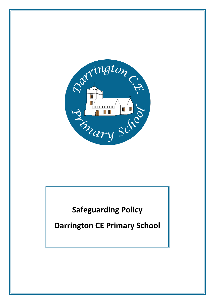

**Safeguarding Policy**

**Darrington CE Primary School**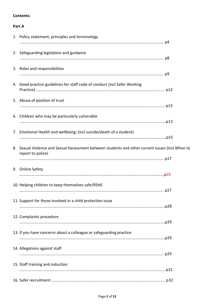## **Contents:**

# Part A

| 1. Policy statement, principles and terminology                                                                       |  |
|-----------------------------------------------------------------------------------------------------------------------|--|
| 2. Safeguarding legislation and guidance                                                                              |  |
| 3. Roles and responsibilities                                                                                         |  |
| 4. Good practice guidelines for staff code of conduct (incl Safer Working                                             |  |
| 5. Abuse of position of trust                                                                                         |  |
| 6. Children who may be particularly vulnerable                                                                        |  |
| 7. Emotional Health and wellbeing; (incl suicide/death of a student)                                                  |  |
| 8. Sexual Violence and Sexual Harassment between students and other current issues (incl When to<br>report to police) |  |
| 9. Online Safety                                                                                                      |  |
| 10. Helping children to keep themselves safe/RSHE                                                                     |  |
| 11. Support for those involved in a child protection issue                                                            |  |
| 12. Complaints procedure                                                                                              |  |
| 13. If you have concerns about a colleague or safeguarding practice                                                   |  |
| 14. Allegations against staff                                                                                         |  |
| 15. Staff training and induction                                                                                      |  |
|                                                                                                                       |  |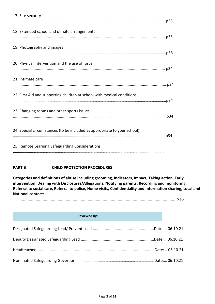| 17. Site security                                                        |  |
|--------------------------------------------------------------------------|--|
| 18. Extended school and off-site arrangements                            |  |
| 19. Photography and images                                               |  |
| 20. Physical intervention and the use of force                           |  |
| 21. Intimate care                                                        |  |
| 22. First Aid and supporting children at school with medical conditions  |  |
| 23. Changing rooms and other sports issues                               |  |
| 24. Special circumstances (to be included as appropriate to your school) |  |
| 25. Remote Learning Safeguarding Considerations                          |  |

## **PART B CHILD PROTECTION PROCEDURES**

**Categories and definitions of abuse including grooming, Indicators, Impact, Taking action, Early intervention, Dealing with Disclosures/Allegations, Notifying parents, Recording and monitoring, Referral to social care, Referral to police, Home visits, Confidentiality and Information sharing, Local and National contacts.**

**........................................................................................................................................p36**

#### **Reviewed by:**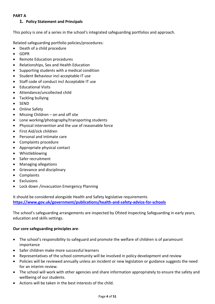## **PART A**

## **1. Policy Statement and Principals**

This policy is one of a series in the school's integrated safeguarding portfolios and approach.

Related safeguarding portfolio policies/procedures:

- Death of a child procedure
- GDPR
- Remote Education procedures
- Relationships, Sex and Health Education
- Supporting students with a medical condition
- Student Behaviour incl acceptable IT use
- Staff code of conduct incl Acceptable IT use
- Educational Visits
- Attendance/uncollected child
- Tackling bullying
- SEND
- Online Safety
- Missing Children on and off site
- Lone working/photography/transporting students
- Physical intervention and the use of reasonable force
- First Aid/sick children
- Personal and intimate care
- Complaints procedure
- Appropriate physical contact
- Whistleblowing
- Safer recruitment
- Managing allegations
- Grievance and disciplinary
- Complaints
- **Exclusions**
- Lock down /invacuation Emergency Planning

It should be considered alongside Health and Safety legislative requirements **<https://www.gov.uk/government/publications/health-and-safety-advice-for-schools>**

The school's safeguarding arrangements are inspected by Ofsted Inspecting Safeguarding in early years, education and skills settings.

## **Our core safeguarding principles are**:

- The school's responsibility to safeguard and promote the welfare of children is of paramount importance
- Safer children make more successful learners
- Representatives of the school community will be involved in policy development and review
- Policies will be reviewed annually unless an incident or new legislation or guidance suggests the need for an interim review.
- The school will work with other agencies and share information appropriately to ensure the safety and wellbeing of our students.
- Actions will be taken in the best interests of the child.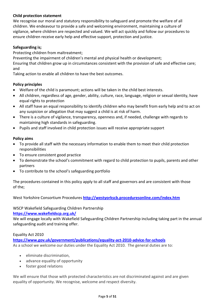## **Child protection statement**

We recognise our moral and statutory responsibility to safeguard and promote the welfare of all children. We endeavour to provide a safe and welcoming environment, maintaining a culture of vigilance, where children are respected and valued. We will act quickly and follow our procedures to ensure children receive early help and effective support, protection and justice.

## **Safeguarding is;**

Protecting children from maltreatment;

Preventing the impairment of children's mental and physical health or development;

Ensuring that children grow up in circumstances consistent with the provision of safe and effective care; and

Taking action to enable all children to have the best outcomes.

## **Policy principles**

- Welfare of the child is paramount; actions will be taken in the child best interests.
- All children, regardless of age, gender, ability, culture, race, language, religion or sexual identity, have equal rights to protection
- All staff have an equal responsibility to identify children who may benefit from early help and to act on any suspicion or allegation that may suggest a child is at risk of harm.
- There is a culture of vigilance, transparency, openness and, if needed, challenge with regards to maintaining high standards in safeguarding.
- Pupils and staff involved in child protection issues will receive appropriate support

## **Policy aims**

- To provide all staff with the necessary information to enable them to meet their child protection responsibilities
- To ensure consistent good practice
- To demonstrate the school's commitment with regard to child protection to pupils, parents and other partners
- To contribute to the school's safeguarding portfolio

The procedures contained in this policy apply to all staff and governors and are consistent with those of the;

West Yorkshire Consortium Procedures **<http://westyorkscb.proceduresonline.com/index.htm>**

## WSCP Wakefield Safeguarding Children Partnership

## **<https://www.wakefieldscp.org.uk/>**

We will engage locally with Wakefield Safeguarding Children Partnership including taking part in the annual safeguarding audit and training offer.

## Equality Act 2010

**<https://www.gov.uk/government/publications/equality-act-2010-advice-for-schools>** As a school we welcome our duties under the Equality Act 2010. The general duties are to:

- eliminate discrimination,
- advance equality of opportunity
- foster good relations

We will ensure that those with protected characteristics are not discriminated against and are given equality of opportunity. We recognise, welcome and respect diversity.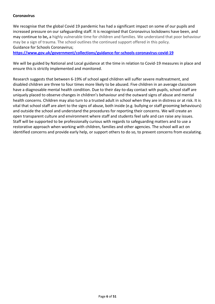### **Coronavirus**

We recognise that the global Covid 19 pandemic has had a significant impact on some of our pupils and increased pressure on our safeguarding staff. It is recognised that Coronavirus lockdowns have been, and may continue to be**,** a highly vulnerable time for children and families. We understand that poor behaviour may be a sign of trauma. The school outlines the continued support offered in this policy. Guidance for Schools Coronavirus;

**<https://www.gov.uk/government/collections/guidance-for-schools-coronavirus-covid-19>**

We will be guided by National and Local guidance at the time in relation to Covid-19 measures in place and ensure this is strictly implemented and monitored.

Research suggests that between 6-19% of school aged children will suffer severe maltreatment, and disabled children are three to four times more likely to be abused. Five children in an average classroom have a diagnosable mental health condition. Due to their day-to-day contact with pupils, school staff are uniquely placed to observe changes in children's behaviour and the outward signs of abuse and mental health concerns. Children may also turn to a trusted adult in school when they are in distress or at risk. It is vital that school staff are alert to the signs of abuse, both inside (e.g. bullying or staff grooming behaviours) and outside the school and understand the procedures for reporting their concerns. We will create an open transparent culture and environment where staff and students feel safe and can raise any issues. Staff will be supported to be professionally curious with regards to safeguarding matters and to use a restorative approach when working with children, families and other agencies. The school will act on identified concerns and provide early help, or support others to do so, to prevent concerns from escalating.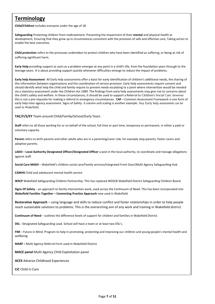# **Terminology**

**Child/Children** includes everyone under the age of 18.

**Safeguarding** Protecting children from maltreatment. Preventing the impairment of their **mental** and physical health or development, Ensuring that they grow up in circumstances consistent with the provision of safe and effective care, Taking action to enable the best outcomes.

**Child protection** refers to the processes undertaken to protect children who have been identified as suffering, or being at risk of suffering significant harm.

**Early Help** providing support as soon as a problem emerges at any point in a child's life, from the foundation years through to the teenage years. It is about providing support quickly whenever difficulties emerge to reduce the impact of problems.

**Early help Assessment** All Early help assessments offer a basis for early identification of children's additional needs, the sharing of this information between organisations and the coordination of service provision. Early help assessments require consent and should identify what help the child and family require to prevent needs escalating to a point where intervention would be needed via a statutory assessment under the Children Act 1989. The findings from early help assessments may give rise to concerns about the child's safety and welfare. In these circumstances, it should be used to support a Referral to Children's Social Care: however this is not a pre-requisite for making a referral in emergency circumstances. **CAF –** Common Assessment Framework is one form of early help inter-agency assessment. Signs of Safety -3 column and scaling is another example. Any Early help assessment can be used in Wakefield.

#### **TAC/F/S/EY** Team around Child/Family/School/Early Years

**Staff** refers to all those working for or on behalf of the school, full time or part time, temporary or permanent, in either a paid or voluntary capacity.

**Parent** refers to birth parents and other adults who are in a parenting/carer role, for example step-parents, foster carers and adoptive parents.

**LADO – Local Authority Designated Officer/Designated Officer** a post in the local authority, to coordinate and manage allegations against staff.

**Social Care MASH** – Wakefield's children social care/Family services/Integrated Front Door/Multi Agency Safeguarding Hub

**CAMHS** Child and adolescent mental health service

**WSCP** Wakefield Safeguarding Children Partnership. This has replaced WDSCB Wakefield District Safeguarding Children Board.

**Signs Of Safety** – an approach to family intervention work, used across the Continuum of Need. This has been incorporated into **Wakefield Families Together – Connecting Practice Approach** now used in Wakefield.

**Restorative Approach** – using language and skills to reduce conflict and foster relationships in order to help people reach sustainable solutions to problems. This is the overarching aim of any work and training in Wakefield district.

**Continuum of Need** – outlines the difference levels of support for children and families in Wakefield District.

**DSL -** Designated Safeguarding Lead. School will have a team or at least two DSL's.

**FIM** – Future in Mind. Program to help in promoting, protecting and improving our children and young people's mental health and wellbeing

**MARF –** Multi Agency Referral Form used in Wakefield District

**MACE panel** Multi Agency Child Exploitation panel.

**ACES** Adverse Childhood Experiences

**CiC** Child In Care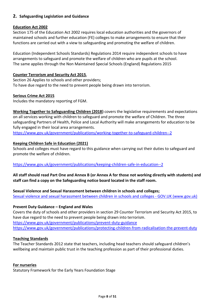## **2. Safeguarding Legislation and Guidance**

### **Education Act 2002**

Section 175 of the Education Act 2002 requires local education authorities and the governors of maintained schools and further education (FE) colleges to make arrangements to ensure that their functions are carried out with a view to safeguarding and promoting the welfare of children.

Education (Independent Schools Standards) Regulations 2014 require independent schools to have arrangements to safeguard and promote the welfare of children who are pupils at the school. The same applies through the Non Maintained Special Schools (England) Regulations 2015

#### **Counter Terrorism and Security Act 2015**,

Section 26 Applies to schools and other providers; To have due regard to the need to prevent people being drawn into terrorism.

#### **Serious Crime Act 2015**

Includes the mandatory reporting of FGM.

**Working Together to Safeguarding Children (2018)** covers the legislative requirements and expectations on all services working with children to safeguard and promote the welfare of Children. The three safeguarding Partners of Health, Police and Local Authority will make arrangements for education to be fully engaged in their local area arrangements.

<https://www.gov.uk/government/publications/working-together-to-safeguard-children--2>

#### **Keeping Children Safe in Education (2021)**

Schools and colleges must have regard to this guidance when carrying out their duties to safeguard and promote the welfare of children.

<https://www.gov.uk/government/publications/keeping-children-safe-in-education--2>

**All staff should read Part One and Annex B (or Annex A for those not working directly with students) and staff can find a copy on the Safeguarding notice board located in the staff room.**

**Sexual Violence and Sexual Harassment between children in schools and colleges;** [Sexual violence and sexual harassment between children in schools and colleges -](https://www.gov.uk/government/publications/sexual-violence-and-sexual-harassment-between-children-in-schools-and-colleges) GOV.UK (www.gov.uk)

## **Prevent Duty Guidance – England and Wales**

Covers the duty of schools and other providers in section 29 Counter Terrorism and Security Act 2015, to have due regard to the need to prevent people being drawn into terrorism. <https://www.gov.uk/government/publications/prevent-duty-guidance> <https://www.gov.uk/government/publications/protecting-children-from-radicalisation-the-prevent-duty>

#### **Teaching Standards**

The Teacher Standards 2012 state that teachers, including head teachers should safeguard children's wellbeing and maintain public trust in the teaching profession as part of their professional duties.

#### **For nurseries**

Statutory Framework for the Early Years Foundation Stage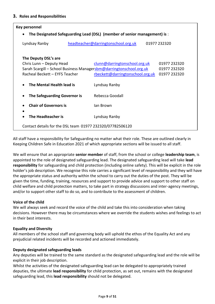| Key personnel                                                             |                                     |              |  |  |  |
|---------------------------------------------------------------------------|-------------------------------------|--------------|--|--|--|
| The Designated Safeguarding Lead (DSL) (member of senior management) is : |                                     |              |  |  |  |
| Lyndsay Ranby                                                             | headteacher@darringtonschool.org.uk | 01977 232320 |  |  |  |
| The Deputy DSL's are                                                      |                                     |              |  |  |  |
| Chris Lunn - Deputy Head                                                  | clunn@darringtonschool.org.uk       | 01977 232320 |  |  |  |
| Sarah Scargill - School Business Managersbm@darringtonschool.org.uk       |                                     | 01977 232320 |  |  |  |
| Racheal Beckett - EYFS Teacher                                            | rbeckett@darringtonschool.org.uk    | 01977 232320 |  |  |  |
| The Mental Health lead is                                                 | Lyndsay Ranby                       |              |  |  |  |
| The Safeguarding Governor is                                              | Rebecca Goodall                     |              |  |  |  |
| <b>Chair of Governors is</b>                                              | lan Brown                           |              |  |  |  |
| The Headteacher is                                                        | Lyndsay Ranby                       |              |  |  |  |
| Contact details for the DSL team 01977 232320/07782506120                 |                                     |              |  |  |  |

All staff have a responsibility for Safeguarding no matter what their role. These are outlined clearly in Keeping Children Safe in Education 2021 of which appropriate sections will be issued to all staff.

We will ensure that an appropriate **senior member** of staff, from the school or college **leadership team**, is appointed to the role of designated safeguarding lead. The designated safeguarding lead will take **lead responsibility** for safeguarding and child protection (including online safety). This will be explicit in the role holder's job description. We recognise this role carries a significant level of responsibility and they will have the appropriate status and authority within the school to carry out the duties of the post. They will be given the time, funding, training, resources and support to provide advice and support to other staff on child welfare and child protection matters, to take part in strategy discussions and inter-agency meetings, and/or to support other staff to do so, and to contribute to the assessment of children.

## **Voice of the child**

We will always seek and record the voice of the child and take this into consideration when taking decisions. However there may be circumstances where we override the students wishes and feelings to act in their best interests.

## **Equality and Diversity**

All members of the school staff and governing body will uphold the ethos of the Equality Act and any prejudicial related incidents will be recorded and actioned immediately.

## **Deputy designated safeguarding leads**

Any deputies will be trained to the same standard as the designated safeguarding lead and the role will be explicit in their job description.

Whilst the activities of the designated safeguarding lead can be delegated to appropriately trained deputies, the ultimate **lead responsibility** for child protection, as set out, remains with the designated safeguarding lead, this **lead responsibility** should not be delegated.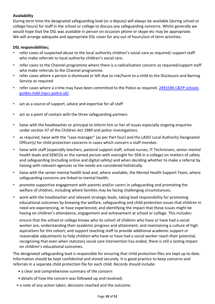## **Availability**

During term time the designated safeguarding lead (or a deputy) will always be available (during school or college hours) for staff in the school or college to discuss any safeguarding concerns. Whilst generally we would hope that the DSL was available in person on occasion phone or skype etc may be appropriate. We will arrange adequate and appropriate DSL cover for any out of hours/out of term activities.

## **DSL responsibilities;**

- refer cases of suspected abuse to the local authority children's social care as required/ support staff who make referrals to local authority children's social care.
- refer cases to the Channel programme where there is a radicalisation concern as required/support staff who make referrals to the Channel programme.
- refer cases where a person is dismissed or left due to risk/harm to a child to the Disclosure and Barring Service as required.
- refer cases where a crime may have been committed to the Police as required. [2491596 C&YP schools](https://www.npcc.police.uk/documents/Children%20and%20Young%20people/When%20to%20call%20the%20police%20guidance%20for%20schools%20and%20colleges.pdf)  [guides.indd \(npcc.police.uk\)](https://www.npcc.police.uk/documents/Children%20and%20Young%20people/When%20to%20call%20the%20police%20guidance%20for%20schools%20and%20colleges.pdf)
- act as a source of support, advice and expertise for all staff
- act as a point of contact with the three safeguarding partners
- liaise with the headteacher or principal to inform him or her of issues especially ongoing enquiries under section 47 of the Children Act 1989 and police investigations.
- as required, liaise with the "case manager" (as per Part four) and the LADO Local Authority Designated Officer(s) for child protection concerns in cases which concern a staff member.
- liaise with staff (especially teachers, pastoral support staff, school nurses, IT Technicians, senior mental health leads and SENCOs or the named person with oversight for SEN in a college) on matters of safety and safeguarding (including online and digital safety) and when deciding whether to make a referral by liaising with relevant agencies so the needs are considered holistically.
- liaise with the senior mental health lead and, where available, the Mental Health Support Team, where safeguarding concerns are linked to mental health;
- promote supportive engagement with parents and/or carers in safeguarding and promoting the welfare of children, including where families may be facing challenging circumstances;
- work with the headteacher and relevant strategic leads, taking lead responsibility for promoting educational outcomes by knowing the welfare, safeguarding and child protection issues that children in need are experiencing, or have experienced, and identifying the impact that these issues might be having on children's attendance, engagement and achievement at school or college. This includes:

ensure that the school or college knows who its cohort of children who have or have had a social worker are, understanding their academic progress and attainment, and maintaining a culture of high aspirations for this cohort; and support teaching staff to provide additional academic support or reasonable adjustments to help children who have or have had a social worker reach their potential, recognising that even when statutory social care intervention has ended, there is still a lasting impact on children's educational outcomes.

The designated safeguarding lead is responsible for ensuring that child protection files are kept up to date. Information should be kept confidential and stored securely. It is good practice to keep concerns and referrals in a separate child protection file for each child. Records should include:

- a clear and comprehensive summary of the concern
- details of how the concern was followed up and resolved;
- a note of any action taken, decisions reached and the outcome.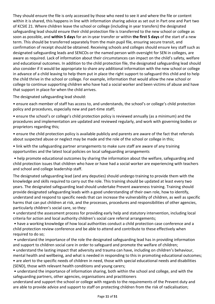They should ensure the file is only accessed by those who need to see it and where the file or content within it is shared, this happens in line with information sharing advice as set out in Part one and Part two of KCSIE 21. Where children leave the school or college (including in year transfers) the designated safeguarding lead should ensure their child protection file is transferred to the new school or college as soon as possible, and **within 5 days** for an in-year transfer or within **the first 5 days** of the start of a new term. This should be transferred separately from the main pupil file, ensuring secure transit, and confirmation of receipt should be obtained. Receiving schools and colleges should ensure key staff such as designated safeguarding leads and SENCOs or the named person with oversight for SEN in colleges, are aware as required. Lack of information about their circumstances can impact on the child's safety, welfare and educational outcomes. In addition to the child protection file, the designated safeguarding lead should also consider if it would be appropriate to share any additional information with the new school or college in advance of a child leaving to help them put in place the right support to safeguard this child and to help the child thrive in the school or college. For example, information that would allow the new school or college to continue supporting children who have had a social worker and been victims of abuse and have that support in place for when the child arrives.

The designated safeguarding lead should:

• ensure each member of staff has access to, and understands, the school's or college's child protection policy and procedures, especially new and part-time staff;

• ensure the school's or college's child protection policy is reviewed annually (as a minimum) and the procedures and implementation are updated and reviewed regularly, and work with governing bodies or proprietors regarding this;

• ensure the child protection policy is available publicly and parents are aware of the fact that referrals about suspected abuse or neglect may be made and the role of the school or college in this;

• link with the safeguarding partner arrangements to make sure staff are aware of any training opportunities and the latest local policies on local safeguarding arrangements

• help promote educational outcomes by sharing the information about the welfare, safeguarding and child protection issues that children who have or have had a social worker are experiencing with teachers and school and college leadership staff.

The designated safeguarding lead (and any deputies) should undergo training to provide them with the knowledge and skills required to carry out the role. This training should be updated at least every two years. The designated safeguarding lead should undertake Prevent awareness training. Training should provide designated safeguarding leads with a good understanding of their own role, how to identify, understand and respond to specific needs that can increase the vulnerability of children, as well as specific harms that can put children at risk, and the processes, procedures and responsibilities of other agencies, particularly children's social care, so they:

• understand the assessment process for providing early help and statutory intervention, including local criteria for action and local authority children's social care referral arrangements;

• have a working knowledge of how local authorities conduct a child protection case conference and a child protection review conference and be able to attend and contribute to these effectively when required to do so;

• understand the importance of the role the designated safeguarding lead has in providing information and support to children social care in order to safeguard and promote the welfare of children;

• understand the lasting impact that adversity and trauma can have, including on children's behaviour, mental health and wellbeing, and what is needed in responding to this in promoting educational outcomes; • are alert to the specific needs of children in need, those with special educational needs and disabilities (SEND), those with relevant health conditions and young carers;

• understand the importance of information sharing, both within the school and college, and with the safeguarding partners, other agencies, organisations and practitioners

understand and support the school or college with regards to the requirements of the Prevent duty and are able to provide advice and support to staff on protecting children from the risk of radicalisation;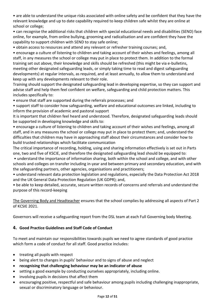• are able to understand the unique risks associated with online safety and be confident that they have the relevant knowledge and up to date capability required to keep children safe whilst they are online at school or college;

• can recognise the additional risks that children with special educational needs and disabilities (SEND) face online, for example, from online bullying, grooming and radicalisation and are confident they have the capability to support children with SEND to stay safe online;

• obtain access to resources and attend any relevant or refresher training courses; and,

• encourage a culture of listening to children and taking account of their wishes and feelings, among all staff, in any measures the school or college may put in place to protect them. In addition to the formal training set out above, their knowledge and skills should be refreshed (this might be via e-bulletins, meeting other designated safeguarding leads, or simply taking time to read and digest safeguarding developments) at regular intervals, as required, and at least annually, to allow them to understand and keep up with any developments relevant to their role.

Training should support the designated safeguarding lead in developing expertise, so they can support and advise staff and help them feel confident on welfare, safeguarding and child protection matters. This includes specifically to:

• ensure that staff are supported during the referrals processes; and

• support staff to consider how safeguarding, welfare and educational outcomes are linked, including to inform the provision of academic and pastoral support

It is important that children feel heard and understood. Therefore, designated safeguarding leads should be supported in developing knowledge and skills to:

• encourage a culture of listening to children and taking account of their wishes and feelings, among all staff, and in any measures the school or college may put in place to protect them; and, understand the difficulties that children may have in approaching staff about their circumstances and consider how to build trusted relationships which facilitate communication

The critical importance of recording, holding, using and sharing information effectively is set out in Parts one, two and five of KSCIE, and therefore the designated safeguarding lead should be equipped to:

• understand the importance of information sharing, both within the school and college, and with other schools and colleges on transfer including in-year and between primary and secondary education, and with the safeguarding partners, other agencies, organisations and practitioners;

• understand relevant data protection legislation and regulations, especially the Data Protection Act 2018 and the UK General Data Protection Regulation (UK GDPR); and,

• be able to keep detailed, accurate, secure written records of concerns and referrals and understand the purpose of this record-keeping

The Governing Body and Headteacher ensures that the school complies by addressing all aspects of Part 2 of KCSIE 2021.

Governors will receive a safeguarding report from the DSL team at each Full Governing body Meeting.

## **4. Good Practice Guidelines and Staff Code of Conduct**

To meet and maintain our responsibilities towards pupils we need to agree standards of good practice which form a code of conduct for all staff. Good practice includes:

- treating all pupils with respect
- being alert to changes in pupils' behaviour and to signs of abuse and neglect
- **recognising that challenging behaviour may be an indicator of abuse**
- setting a good example by conducting ourselves appropriately, including online.
- involving pupils in decisions that affect them
- encouraging positive, respectful and safe behaviour among pupils including challenging inappropriate, sexual or discriminatory language or behaviour.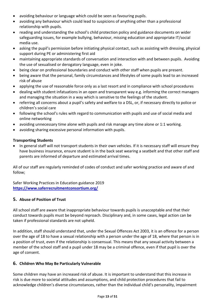- avoiding behaviour or language which could be seen as favouring pupils.
- avoiding any behaviour which could lead to suspicions of anything other than a professional relationship with pupils.
- reading and understanding the school's child protection policy and guidance documents on wider safeguarding issues, for example bullying, behaviour, missing education and appropriate IT/social media use.
- asking the pupil's permission before initiating physical contact, such as assisting with dressing, physical support during PE or administering first aid
- maintaining appropriate standards of conversation and interaction with and between pupils. Avoiding the use of sexualised or derogatory language, even in joke.
- being clear on professional boundaries and conduct with other staff when pupils are present.
- being aware that the personal, family circumstances and lifestyles of some pupils lead to an increased risk of abuse
- applying the use of reasonable force only as a last resort and in compliance with school procedures
- dealing with student infatuations in an open and transparent way e.g. informing the correct managers and managing the situation in a way which is sensitive to the feelings of the student.
- referring all concerns about a pupil's safety and welfare to a DSL, or, if necessary directly to police or children's social care
- following the school's rules with regard to communication with pupils and use of social media and online networking
- avoiding unnecessary time alone with pupils and risk manage any time alone or 1:1 working.
- avoiding sharing excessive personal information with pupils.

## **Transporting Students**

• In general staff will not transport students in their own vehicles. If it is necessary staff will ensure they have business insurance, ensure student is in the back seat wearing a seatbelt and that other staff and parents are informed of departure and estimated arrival times.

All of our staff are regularly reminded of codes of conduct and safer working practice and aware of and follow;

Safer Working Practices in Education guidance 2019 **<https://www.saferrecruitmentconsortium.org/>**

## **5. Abuse of Position of Trust**

All school staff are aware that inappropriate behaviour towards pupils is unacceptable and that their conduct towards pupils must be beyond reproach. Disciplinary and, in some cases, legal action can be taken if professional standards are not upheld.

In addition, staff should understand that, under the Sexual Offences Act 2003, it is an offence for a person over the age of 18 to have a sexual relationship with a person under the age of 18, where that person is in a position of trust, even if the relationship is consensual. This means that any sexual activity between a member of the school staff and a pupil under 18 may be a criminal offence, even if that pupil is over the age of consent.

## **6. Children Who May Be Particularly Vulnerable**

Some children may have an increased risk of abuse. It is important to understand that this increase in risk is due more to societal attitudes and assumptions, and child protection procedures that fail to acknowledge children's diverse circumstances, rather than the individual child's personality, impairment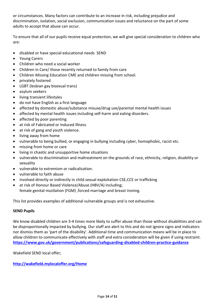or circumstances. Many factors can contribute to an increase in risk, including prejudice and discrimination, isolation, social exclusion, communication issues and reluctance on the part of some adults to accept that abuse can occur.

To ensure that all of our pupils receive equal protection, we will give special consideration to children who are:

- disabled or have special educational needs SEND
- Young Carers
- Children who need a social worker
- Children in Care/ those recently returned to family from care
- Children Missing Education CME and children missing from school.
- privately fostered
- LGBT (lesbian gay bisexual trans)
- asylum seekers
- living transient lifestyles
- do not have English as a first language
- affected by domestic abuse/substance misuse/drug use/parental mental health issues
- affected by mental health issues including self-harm and eating disorders.
- affected by poor parenting
- at risk of Fabricated or Induced Illness
- at risk of gang and youth violence.
- living away from home
- vulnerable to being bullied, or engaging in bullying including cyber, homophobic, racist etc.
- missing from home or care
- living in chaotic and unsupportive home situations
- vulnerable to discrimination and maltreatment on the grounds of race, ethnicity, religion, disability or sexuality
- vulnerable to extremism or radicalisation.
- vulnerable to faith abuse
- involved directly or indirectly in child sexual exploitation CSE, CCE or trafficking
- at risk of Honour Based Violence/Abuse (HBV/A) including:

female genital mutilation (FGM) ,forced marriage and breast ironing.

This list provides examples of additional vulnerable groups and is not exhaustive.

#### **SEND Pupils**

We know disabled children are 3-4 times more likely to suffer abuse than those without disabilities and can be disproportionally impacted by bullying. Our staff are alert to this and do not ignore signs and indicators nor dismiss them as 'part of the disability'. Additional time and communication means will be in place to allow children to communicate effectively with staff and extra consideration will be given if using restraint. **<https://www.gov.uk/government/publications/safeguarding-disabled-children-practice-guidance>**

Wakefield SEND local offer;

**<http://wakefield.mylocaloffer.org/Home>**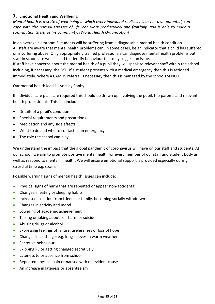## **7. Emotional Health and Wellbeing**

*Mental health is a state of well-being in which every individual realises his or her own potential, can cope with the normal stresses of life, can work productively and fruitfully, and is able to make a contribution to her or his community. (World Health Organization)*

In an average classroom 5 students will be suffering from a diagnosable mental health condition. All staff are aware that mental health problems can, in some cases, be an indicator that a child has suffered or is suffering abuse. Only appropriately trained professionals can diagnose mental health problems but staff in school are well placed to identify behaviour that may suggest an issue.

If staff have concerns about the mental health of a pupil they will speak to relevant staff within the school including, if necessary, the DSL. If a student presents with a medical emergency then this is actioned immediately. Where a CAMHS referral is necessary then this is managed by the schools SENCO.

Our mental health lead is Lyndsay Ranby.

If individual care plans are required this should be drawn up involving the pupil, the parents and relevant health professionals. This can include:

- Details of a pupil's condition
- Special requirements and precautions
- Medication and any side effects
- What to do and who to contact in an emergency
- The role the school can play

We understand the impact that the global pandemic of coronavirus will have on our staff and students. At our school, we aim to promote positive mental health for every member of our staff and student body as well as respond to mental ill health. We will ensure emotional support is provided especially during stressful time e.g. exams.

Possible warning signs of mental health issues can include:

- Physical signs of harm that are repeated or appear non-accidental
- Changes in eating or sleeping habits
- Increased isolation from friends or family, becoming socially withdrawn
- Changes in activity and mood
- Lowering of academic achievement
- Talking or joking about self-harm or suicide
- Abusing drugs or alcohol
- Expressing feelings of failure, uselessness or loss of hope
- Changes in clothing e.g. long sleeves in warm weather
- Secretive behaviour
- Skipping PE or getting changed secretively
- Lateness to or absence from school
- Repeated physical pain or nausea with no evident cause
- An increase in lateness or absenteeism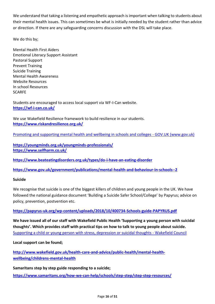We understand that taking a listening and empathetic approach is important when talking to students about their mental health issues. This can sometimes be what is initially needed by the student rather than advice or direction. If there are any safeguarding concerns discussion with the DSL will take place.

We do this by;

Mental Health First Aiders Emotional Literacy Support Assistant Pastoral Support Prevent Training Suicide Training Mental Health Awareness Website Resources In school Resources SCARFE

Students are encouraged to access local support via WF-I-Can website. **<https://wf-i-can.co.uk/>**

We use Wakefield Resilience framework to build resilience in our students. **<https://www.riskandresilience.org.uk/>**

[Promoting and supporting mental health and wellbeing in schools and colleges -](https://www.gov.uk/guidance/mental-health-and-wellbeing-support-in-schools-and-colleges) GOV.UK (www.gov.uk)

**<https://youngminds.org.uk/youngminds-professionals/> <https://www.selfharm.co.uk/>**

**<https://www.beateatingdisorders.org.uk/types/do-i-have-an-eating-disorder>**

**<https://www.gov.uk/government/publications/mental-health-and-behaviour-in-schools--2>**

## **Suicide**

We recognise that suicide is one of the biggest killers of children and young people in the UK. We have followed the national guidance document 'Building a Suicide Safer School/College' by Papyrus; advice on policy, prevention, postvention etc.

## **<https://papyrus-uk.org/wp-content/uploads/2018/10/400734-Schools-guide-PAPYRUS.pdf>**

**We have issued all of our staff with Wakefield Public Health 'Supporting a young person with suicidal thoughts'. Which provides staff with practical tips on how to talk to young people about suicide.**  [Supporting a child or young person with stress, depression or suicidal thoughts -](https://www.wakefield.gov.uk/health-care-and-advice/public-health/mental-health-wellbeing/childrens-mental-health/suicide-prevention) Wakefield Council

**Local support can be found;**

**[http://www.wakefield.gov.uk/health-care-and-advice/public-health/mental-health](http://www.wakefield.gov.uk/health-care-and-advice/public-health/mental-health-wellbeing/childrens-mental-health)[wellbeing/childrens-mental-health](http://www.wakefield.gov.uk/health-care-and-advice/public-health/mental-health-wellbeing/childrens-mental-health)**

**Samaritans step by step guide responding to a suicide;**

**<https://www.samaritans.org/how-we-can-help/schools/step-step/step-step-resources/>**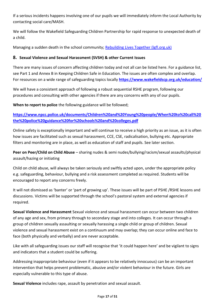If a serious incidents happens involving one of our pupils we will immediately inform the Local Authority by contacting social care/MASH.

We will follow the Wakefield Safeguarding Children Partnership for rapid response to unexpected death of a child.

Managing a sudden death in the school community; [Rebuilding Lives Together \(lgfl.org.uk\)](https://bereavement.lgfl.org.uk/default.html)

## **8. Sexual Violence and Sexual Harassment (SVSH) & other Current Issues**

There are many issues of concern affecting children today and not all can be listed here. For a guidance list, see Part 1 and Annex B in Keeping Children Safe in Education. The issues are often complex and overlap. For resources on a wide range of safeguarding topics locally **<https://www.wakefieldscp.org.uk/education/>**

We will have a consistent approach of following a robust sequential RSHE program, following our procedures and consulting with other agencies if there are any concerns with any of our pupils.

**When to report to police** the following guidance will be followed;

**[https://www.npcc.police.uk/documents/Children%20and%20Young%20people/When%20to%20call%20](https://www.npcc.police.uk/documents/Children%20and%20Young%20people/When%20to%20call%20the%20police%20guidance%20for%20schools%20and%20colleges.pdf) [the%20police%20guidance%20for%20schools%20and%20colleges.pdf](https://www.npcc.police.uk/documents/Children%20and%20Young%20people/When%20to%20call%20the%20police%20guidance%20for%20schools%20and%20colleges.pdf)**

Online safety is exceptionally important and will continue to receive a high priority as an issue, as it is often how issues are facilitated such as sexual harassment, CCE, CSE, radicalisation, bullying etc. Appropriate filters and monitoring are in place, as well as education of staff and pupils. See later section.

**Peer on Peer/Child on Child Abuse** – sharing nudes & semi nudes/bullying/racism/sexual assaults/physical assault/hazing or initiating

Child on child abuse, will always be taken seriously and swiftly acted upon, under the appropriate policy e.g. safeguarding, behaviour, bullying and a risk assessment completed as required. Students will be encouraged to report any concerns freely.

It will not dismissed as 'banter' or 'part of growing up'. These issues will be part of PSHE /RSHE lessons and discussions. Victims will be supported through the school's pastoral system and external agencies if required.

**Sexual Violence and Harassment** Sexual violence and sexual harassment can occur between two children of any age and sex, from primary through to secondary stage and into colleges. It can occur through a group of children sexually assaulting or sexually harassing a single child or group of children. Sexual violence and sexual harassment exist on a continuum and may overlap; they can occur online and face to face (both physically and verbally) and are never acceptable.

Like with all safeguarding issues our staff will recognise that 'it could happen here' and be vigilant to signs and indicators that a student could be suffering.

Addressing inappropriate behaviour (even if it appears to be relatively innocuous) can be an important intervention that helps prevent problematic, abusive and/or violent behaviour in the future. Girls are especially vulnerable to this type of abuse.

**Sexual Violence** includes rape, assault by penetration and sexual assault.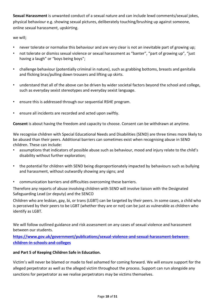**Sexual Harassment** is unwanted conduct of a sexual nature and can include lewd comments/sexual jokes, physical behaviour e.g. showing sexual pictures, deliberately touching/brushing up against someone, online sexual harassment, upskirting.

we will;

- never tolerate or normalise this behaviour and are very clear is not an inevitable part of growing up;
- not tolerate or dismiss sexual violence or sexual harassment as "banter", "part of growing up", "just having a laugh" or "boys being boys";
- challenge behaviour (potentially criminal in nature), such as grabbing bottoms, breasts and genitalia and flicking bras/pulling down trousers and lifting up skirts.
- understand that all of the above can be driven by wider societal factors beyond the school and college, such as everyday sexist stereotypes and everyday sexist language.
- ensure this is addressed through our sequential RSHE program.
- ensure all incidents are recorded and acted upon swiftly.

**Consent** is about having the freedom and capacity to choose. Consent can be withdrawn at anytime.

We recognise children with Special Educational Needs and Disabilities (SEND) are three times more likely to be abused than their peers. Additional barriers can sometimes exist when recognising abuse in SEND children. These can include:

- assumptions that indicators of possible abuse such as behaviour, mood and injury relate to the child's disability without further exploration;
- the potential for children with SEND being disproportionately impacted by behaviours such as bullying and harassment, without outwardly showing any signs; and
- communication barriers and difficulties overcoming these barriers.

Therefore any reports of abuse involving children with SEND will involve liaison with the Designated Safeguarding Lead (or deputy) and the SENCO

Children who are lesbian, gay, bi, or trans (LGBT) can be targeted by their peers. In some cases, a child who is perceived by their peers to be LGBT (whether they are or not) can be just as vulnerable as children who identify as LGBT.

We will follow outlined guidance and risk assessment on any cases of sexual violence and harassment between our students.

**[https://www.gov.uk/government/publications/sexual-violence-and-sexual-harassment-between](https://www.gov.uk/government/publications/sexual-violence-and-sexual-harassment-between-children-in-schools-and-colleges)[children-in-schools-and-colleges](https://www.gov.uk/government/publications/sexual-violence-and-sexual-harassment-between-children-in-schools-and-colleges)**

#### **and Part 5 of Keeping Children Safe in Education.**

Victim's will never be blamed or made to feel ashamed for coming forward. We will ensure support for the alleged perpetrator as well as the alleged victim throughout the process. Support can run alongside any sanctions for perpetrator as we realise perpetrators may be victims themselves.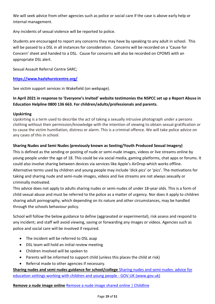We will seek advice from other agencies such as police or social care if the case is above early help or internal management.

Any incidents of sexual violence will be reported to police.

Students are encouraged to report any concerns they may have by speaking to any adult in school. This will be passed to a DSL in all instances for consideration. Concerns will be recorded on a 'Cause for Concern' sheet and handed to a DSL. Cause for concerns will also be recorded on CPOMS with an appropriate DSL alert.

Sexual Assault Referral Centre SARC;

## **<https://www.hazlehurstcentre.org/>**

See victim support services in Wakefield (on webpage).

## **In April 2021 in response to 'Everyone's Invited' website testimonies the NSPCC set up a Report Abuse in Education Helpline 0800 136 663. For children/adults/professionals and parents.**

## **Upskirting**

Upskirting is a term used to describe the act of taking a sexually intrusive photograph under a persons clothing without their permission/knowledge with the intention of viewing to obtain sexual gratification or to cause the victim humiliation, distress or alarm. This is a criminal offence. We will take police advice on any cases of this in school.

## **Sharing Nudes and Semi Nudes (previously known as Sexting/Youth Produced Sexual Imagery)**

This is defined as the sending or posting of nude or semi-nude images, videos or live streams online by young people under the age of 18. This could be via social media, gaming platforms, chat apps or forums. It could also involve sharing between devices via services like Apple's AirDrop which works offline. Alternative terms used by children and young people may include 'dick pics' or 'pics'. The motivations for taking and sharing nude and semi-nude images, videos and live streams are not always sexually or criminally motivated.

This advice does not apply to adults sharing nudes or semi-nudes of under 18-year olds. This is a form of child sexual abuse and must be referred to the police as a matter of urgency. Nor does it apply to children sharing adult pornography, which depending on its nature and other circumstances, may be handled through the schools behaviour policy.

School will follow the below guidance to define (aggravated or experimental), risk assess and respond to any incident; and staff will avoid viewing, saving or forwarding any images or videos. Agencies such as police and social care will be involved if required.

- The incident will be referred to DSL asap
- DSL team will hold an initial review meeting
- Children involved will be spoken to
- Parents will be informed to support child (unless this places the child at risk)
- Referral made to other agencies if necessary.

**Sharing nudes and semi nudes guidance for school/college** [Sharing nudes and semi-nudes: advice for](https://www.gov.uk/government/publications/sharing-nudes-and-semi-nudes-advice-for-education-settings-working-with-children-and-young-people)  [education settings working with children and young people -](https://www.gov.uk/government/publications/sharing-nudes-and-semi-nudes-advice-for-education-settings-working-with-children-and-young-people) GOV.UK (www.gov.uk)

**Remove a nude image online** [Remove a nude image shared online | Childline](https://www.childline.org.uk/info-advice/bullying-abuse-safety/online-mobile-safety/remove-nude-image-shared-online/)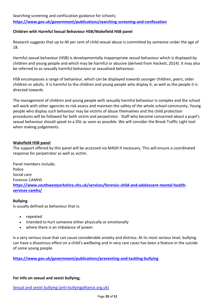Searching screening and confiscation guidance for schools;

**<https://www.gov.uk/government/publications/searching-screening-and-confiscation>**

#### **Children with Harmful Sexual Behaviour HSB/Wakefield HSB panel**

Research suggests that up to 40 per cent of child sexual abuse is committed by someone under the age of 18.

Harmful sexual behaviour (HSB) is developmentally inappropriate sexual behaviour which is displayed by children and young people and which may be harmful or abusive (derived from Hackett, 2014). It may also be referred to as sexually harmful behaviour or sexualised behaviour.

HSB encompasses a range of behaviour, which can be displayed towards younger children, peers, older children or adults. It is harmful to the children and young people who display it, as well as the people it is directed towards

The management of children and young people with sexually harmful behaviour is complex and the school will work with other agencies to risk assess and maintain the safety of the whole school community. Young people who display such behaviour may be victims of abuse themselves and the child protection procedures will be followed for both victim and perpetrator. Staff who become concerned about a pupil's sexual behaviour should speak to a DSL as soon as possible. We will consider the Brook Traffic Light tool when making judgements.

#### **Wakefield HSB panel**

The support offered by this panel will be accessed via MASH if necessary. This will ensure a coordinated response for perpetrator as well as victim.

Panel members include; Police Social care Forensic CAMHS **[https://www.southwestyorkshire.nhs.uk/services/forensic-child-and-adolescent-mental-health](https://www.southwestyorkshire.nhs.uk/services/forensic-child-and-adolescent-mental-health-services-camhs/)[services-camhs/](https://www.southwestyorkshire.nhs.uk/services/forensic-child-and-adolescent-mental-health-services-camhs/)**

#### **Bullying**

Is usually defined as behaviour that is:

- repeated
- intended to hurt someone either physically or emotionally
- where there is an imbalance of power.

Is a very serious issue that can cause considerable anxiety and distress. At its most serious level, bullying can have a disastrous effect on a child's wellbeing and in very rare cases has been a feature in the suicide of some young people.

**<https://www.gov.uk/government/publications/preventing-and-tackling-bullying>**

## **For info on sexual and sexist bullying;**

[Sexual and sexist bullying \(anti-bullyingalliance.org.uk\)](https://anti-bullyingalliance.org.uk/tools-information/all-about-bullying/sexual-and-sexist-bullying?mc_cid=750788cf8d&mc_eid=5f242682cd)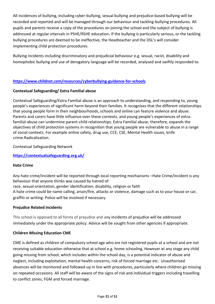All incidences of bullying, including cyber-bullying, sexual bullying and prejudice-based bullying will be recorded and reported and will be managed through our behaviour and tackling-bullying procedures. All pupils and parents receive a copy of the procedures on joining the school and the subject of bullying is addressed at regular intervals in PSHE/RSHE education**.** If the bullying is particularly serious, or the tackling bullying procedures are deemed to be ineffective, the Headteacher and the DSL's will consider implementing child protection procedures.

Bullying incidents including discriminatory and prejudicial behaviour e.g. sexual, racist, disability and homophobic bullying and use of derogatory language will be recorded, analysed and swiftly responded to.

## **<https://www.childnet.com/resources/cyberbullying-guidance-for-schools>**

#### **Contextual Safeguarding/ Extra Familial abuse**

Contextual Safeguarding/Extra Familial abuse is an approach to understanding, and responding to, young people's experiences of significant harm beyond their families. It recognises that the different relationships that young people form in their neighbourhoods, schools and online can feature violence and abuse. Parents and carers have little influence over these contexts, and young people's experiences of extrafamilial abuse can undermine parent-child relationships. Extra Familial abuse, therefore, expands the objectives of child protection systems in recognition that young people are vulnerable to abuse in a range of social contexts. For example online safety, drug use, CCE, CSE, Mental Health issues, knife crime.Radicalisation.

Contextual Safeguarding Network

**<https://contextualsafeguarding.org.uk/>**

#### **Hate Crime**

Any hate crime/incident will be reported through local reporting mechanisms –Hate Crime/incident is any behaviour that anyone thinks was caused by hatred of:

race, sexual orientation, gender identification, disability, religion or faith

A hate crime could be name calling, arson/fire, attacks or violence, damage such as to your house or car, graffiti or writing. Police will be involved if necessary.

#### **Prejudice Related Incidents**

This school is opposed to all forms of prejudice and any incidents of prejudice will be addressed immediately under the appropriate policy. Advice will be sought from other agencies if appropriate.

## **Children Missing Education CME**

CME is defined as children of compulsory school age who are not registered pupils at a school and are not receiving suitable education otherwise that at school e.g. home schooling. However at any stage any child going missing from school, which includes within the school day, is a potential indicator of abuse and neglect, including exploitation, mental health concerns, risk of forced marriage etc. Unauthorised absences will be monitored and followed up in line with procedures, particularly where children go missing on repeated occasions. All staff will be aware of the signs of risk and individual triggers including travelling to conflict zones, FGM and forced marriage.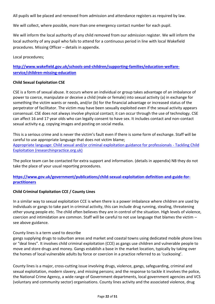All pupils will be placed and removed from admission and attendance registers as required by law.

We will collect, where possible, more than one emergency contact number for each pupil.

We will inform the local authority of any child removed from our admission register. We will inform the local authority of any pupil who fails to attend for a continuous period in line with local Wakefield procedures. Missing Officer – details in appendix.

Local procedures;

**[http://www.wakefield.gov.uk/schools-and-children/supporting-families/education-welfare](http://www.wakefield.gov.uk/schools-and-children/supporting-families/education-welfare-service/children-missing-education)[service/children-missing-education](http://www.wakefield.gov.uk/schools-and-children/supporting-families/education-welfare-service/children-missing-education)**

#### **Child Sexual Exploitation CSE**

CSE is a form of sexual abuse. It occurs where an individual or group takes advantage of an imbalance of power to coerce, manipulate or deceive a child (male or female) into sexual activity (a) in exchange for something the victim wants or needs, and/or (b) for the financial advantage or increased status of the perpetrator of facilitator. The victim may have been sexually exploited even if the sexual activity appears consensual. CSE does not always involve physical contact; it can occur through the use of technology. CSE can affect 16 and 17 year olds who can legally consent to have sex. It includes contact and non-contact sexual activity e.g. copying images and posting on social media.

This is a serious crime and is never the victim's fault even if there is some form of exchange. Staff will be careful to use appropriate language that does not victim blame; [Appropriate language: Child sexual and/or criminal exploitation guidance for professionals -](https://tce.researchinpractice.org.uk/appropriate-language-child-sexual-and-or-criminal-exploitation-guidance-for-professionals/) Tackling Child [Exploitation \(researchinpractice.org.uk\)](https://tce.researchinpractice.org.uk/appropriate-language-child-sexual-and-or-criminal-exploitation-guidance-for-professionals/)

The police team can be contacted for extra support and information. (details in appendix) NB they do not take the place of your usual reporting procedures.

**[https://www.gov.uk/government/publications/child-sexual-exploitation-definition-and-guide-for](https://www.gov.uk/government/publications/child-sexual-exploitation-definition-and-guide-for-practitioners)[practitioners](https://www.gov.uk/government/publications/child-sexual-exploitation-definition-and-guide-for-practitioners)**

## **Child Criminal Exploitation CCE / County Lines**

In a similar way to sexual exploitation CCE is when there is a power imbalance where children are used by individuals or gangs to take part in criminal activity, this can include drug running, stealing, threatening other young people etc. The child often believes they are in control of the situation. High levels of violence, coercion and intimidation are common. Staff will be careful to not use language that blames the victim – see above guidance.

## County lines is a term used to describe

gangs supplying drugs to suburban areas and market and coastal towns using dedicated mobile phone lines or "deal lines". It involves child criminal exploitation (CCE) as gangs use children and vulnerable people to move and store drugs and money. Gangs establish a base in the market location, typically by taking over the homes of local vulnerable adults by force or coercion in a practice referred to as 'cuckooing'.

County lines is a major, cross-cutting issue involving drugs, violence, gangs, safeguarding, criminal and sexual exploitation, modern slavery, and missing persons; and the response to tackle it involves the police, the National Crime Agency, a wide range of Government departments, local government agencies and VCS (voluntary and community sector) organisations. County lines activity and the associated violence, drug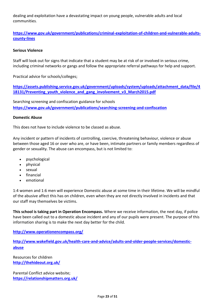dealing and exploitation have a devastating impact on young people, vulnerable adults and local communities.

**[https://www.gov.uk/government/publications/criminal-exploitation-of-children-and-vulnerable-adults](https://www.gov.uk/government/publications/criminal-exploitation-of-children-and-vulnerable-adults-county-lines)[county-lines](https://www.gov.uk/government/publications/criminal-exploitation-of-children-and-vulnerable-adults-county-lines)**

### **Serious Violence**

Staff will look out for signs that indicate that a student may be at risk of or involved in serious crime, including criminal networks or gangs and follow the appropriate referral pathways for help and support.

Practical advice for schools/colleges;

**[https://assets.publishing.service.gov.uk/government/uploads/system/uploads/attachment\\_data/file/4](https://assets.publishing.service.gov.uk/government/uploads/system/uploads/attachment_data/file/418131/Preventing_youth_violence_and_gang_involvement_v3_March2015.pdf) [18131/Preventing\\_youth\\_violence\\_and\\_gang\\_involvement\\_v3\\_March2015.pdf](https://assets.publishing.service.gov.uk/government/uploads/system/uploads/attachment_data/file/418131/Preventing_youth_violence_and_gang_involvement_v3_March2015.pdf)**

Searching screening and confiscation guidance for schools **<https://www.gov.uk/government/publications/searching-screening-and-confiscation>**

#### **Domestic Abuse**

This does not have to include violence to be classed as abuse.

Any incident or pattern of incidents of controlling, coercive, threatening behaviour, violence or abuse between those aged 16 or over who are, or have been, intimate partners or family members regardless of gender or sexuality. The abuse can encompass, but is not limited to:

- psychological
- physical
- sexual
- financial
- emotional

1:4 women and 1:6 men will experience Domestic abuse at some time in their lifetime. We will be mindful of the abusive affect this has on children, even when they are not directly involved in incidents and that our staff may themselves be victims.

**This school is taking part in Operation Encompass.** Where we receive information, the next day, if police have been called out to a domestic abuse incident and any of our pupils were present. The purpose of this information sharing is to make the next day better for the child.

**<http://www.operationencompass.org/>**

**[http://www.wakefield.gov.uk/health-care-and-advice/adults-and-older-people-services/domestic](http://www.wakefield.gov.uk/health-care-and-advice/adults-and-older-people-services/domestic-abuse)[abuse](http://www.wakefield.gov.uk/health-care-and-advice/adults-and-older-people-services/domestic-abuse)**

Resources for children **<http://thehideout.org.uk/>**

Parental Conflict advice website; **<https://relationshipmatters.org.uk/>**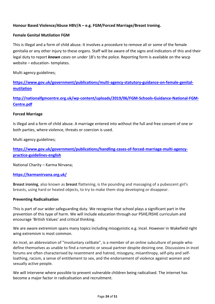## **Honour Based Violence/Abuse HBV/A – e.g. FGM/Forced Marriage/Breast Ironing.**

#### **Female Genital Mutilation FGM**

This is illegal and a form of child abuse. It involves a procedure to remove all or some of the female genitalia or any other injury to these organs. Staff will be aware of the signs and indicators of this and their legal duty to report *known cases* on under 18's to the police. Reporting form is available on the wscp website – education- templates.

Multi agency guidelines;

**[https://www.gov.uk/government/publications/multi-agency-statutory-guidance-on-female-genital](https://www.gov.uk/government/publications/multi-agency-statutory-guidance-on-female-genital-mutilation)[mutilation](https://www.gov.uk/government/publications/multi-agency-statutory-guidance-on-female-genital-mutilation)**

**[http://nationalfgmcentre.org.uk/wp-content/uploads/2019/06/FGM-Schools-Guidance-National-FGM-](http://nationalfgmcentre.org.uk/wp-content/uploads/2019/06/FGM-Schools-Guidance-National-FGM-Centre.pdf)[Centre.pdf](http://nationalfgmcentre.org.uk/wp-content/uploads/2019/06/FGM-Schools-Guidance-National-FGM-Centre.pdf)**

#### **Forced Marriage**

Is illegal and a form of child abuse. A marriage entered into without the full and free consent of one or both parties, where violence, threats or coercion is used.

Multi agency guidelines;

**[https://www.gov.uk/government/publications/handling-cases-of-forced-marriage-multi-agency](https://www.gov.uk/government/publications/handling-cases-of-forced-marriage-multi-agency-practice-guidelines-english)[practice-guidelines-english](https://www.gov.uk/government/publications/handling-cases-of-forced-marriage-multi-agency-practice-guidelines-english)**

National Charity – Karma Nirvana;

#### **<https://karmanirvana.org.uk/>**

**Breast ironing**, also known as **breast** flattening, is the pounding and massaging of a pubescent girl's breasts, using hard or heated objects, to try to make them stop developing or disappear.

#### **Preventing Radicalisation**

This is part of our wider safeguarding duty. We recognise that school plays a significant part in the prevention of this type of harm. We will include education through our PSHE/RSHE curriculum and encourage 'British Values' and critical thinking.

We are aware extremism spans many topics including misogynistic e.g. Incel. However in Wakefield right wing extremism is most common.

An incel, an abbreviation of "involuntary celibate", is a member of an online subculture of people who define themselves as unable to find a romantic or sexual partner despite desiring one. Discussions in incel forums are often characterised by resentment and hatred, misogyny, misanthropy, self-pity and selfloathing, racism, a sense of entitlement to sex, and the endorsement of violence against women and sexually active people.

We will intervene where possible to prevent vulnerable children being radicalised. The internet has become a major factor in radicalisation and recruitment.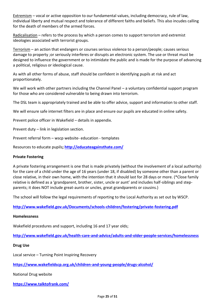Extremism – vocal or active opposition to our fundamental values, including democracy, rule of law, individual liberty and mutual respect and tolerance of different faiths and beliefs. This also incudes calling for the death of members of the armed forces.

Radicalisation – refers to the process by which a person comes to support terrorism and extremist ideologies associated with terrorist groups.

Terrorism – an action that endangers or courses serious violence to a person/people; causes serious damage to property ;or seriously interferes or disrupts an electronic system. The use or threat must be designed to influence the government or to intimidate the public and is made for the purpose of advancing a political, religious or ideological cause.

As with all other forms of abuse, staff should be confident in identifying pupils at risk and act proportionately.

We will work with other partners including the Channel Panel – a voluntary confidential support program for those who are considered vulnerable to being drawn into terrorism.

The DSL team is appropriately trained and be able to offer advice, support and information to other staff.

We will ensure safe internet filters are in place and ensure our pupils are educated in online safety.

Prevent police officer in Wakefield – details in appendix.

Prevent duty – link in legislation section.

Prevent referral form – wscp website- education - templates

Resources to educate pupils**[; http://educateagainsthate.com/](http://educateagainsthate.com/)**

#### **Private Fostering**

A private fostering arrangement is one that is made privately (without the involvement of a local authority) for the care of a child under the age of 16 years (under 18, if disabled) by someone other than a parent or close relative, in their own home, with the intention that it should last for 28 days or more. (\*Close family relative is defined as a 'grandparent, brother, sister, uncle or aunt' and includes half-siblings and stepparents; it does NOT include great-aunts or uncles, great grandparents or cousins.)

The school will follow the legal requirements of reporting to the Local Authority as set out by WSCP.

**<http://www.wakefield.gov.uk/Documents/schools-children/fostering/private-fostering.pdf>**

#### **Homelessness**

Wakefield procedures and support, including 16 and 17 year olds;

**<http://www.wakefield.gov.uk/health-care-and-advice/adults-and-older-people-services/homelessness>**

#### **Drug Use**

Local service – Turning Point Inspiring Recovery

**<https://www.wakefieldscp.org.uk/children-and-young-people/drugs-alcohol/>**

National Drug website

**<https://www.talktofrank.com/>**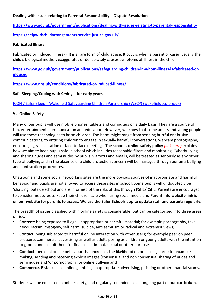### **Dealing with issues relating to Parental Responsibility – Dispute Resolution**

**<https://www.gov.uk/government/publications/dealing-with-issues-relating-to-parental-responsibility>**

**<https://helpwithchildarrangements.service.justice.gov.uk/>**

#### **Fabricated Illness**

Fabricated or induced illness (FII) is a rare form of child abuse. It occurs when a parent or carer, usually the child's biological mother, exaggerates or deliberately causes symptoms of illness in the child

**[https://www.gov.uk/government/publications/safeguarding-children-in-whom-illness-is-fabricated-or](https://www.gov.uk/government/publications/safeguarding-children-in-whom-illness-is-fabricated-or-induced)[induced](https://www.gov.uk/government/publications/safeguarding-children-in-whom-illness-is-fabricated-or-induced)**

**<https://www.nhs.uk/conditions/fabricated-or-induced-illness/>**

#### **Safe Sleeping/Coping with Crying – for early years**

[ICON / Safer Sleep | Wakefield Safeguarding Children Partnership \(WSCP\) \(wakefieldscp.org.uk\)](https://www.wakefieldscp.org.uk/professionals-and-practitioners/icon/)

#### **9. Online Safety**

Many of our pupils will use mobile phones, tablets and computers on a daily basis. They are a source of fun, entertainment, communication and education. However, we know that some adults and young people will use these technologies to harm children. The harm might range from sending hurtful or abusive communications, to enticing children to engage in sexually harmful conversations, webcam photography, encouraging radicalisation or face-to-face meetings. The school's **online safety policy** *[link here)* explains how we aim to keep pupils safe in school which includes reasonable filters and monitoring. Cyberbullying and sharing nudes and semi nudes by pupils, via texts and emails, will be treated as seriously as any other type of bullying and in the absence of a child protection concern will be managed through our anti-bullying and confiscation procedures.

Chatrooms and some social networking sites are the more obvious sources of inappropriate and harmful behaviour and pupils are not allowed to access these sites in school. Some pupils will undoubtedly be 'chatting' outside school and are informed of the risks of this through PSHE/RSHE. Parents are encouraged to consider measures to keep their children safe when using social media and **Parent Info website link is on our website for parents to access. We use the Safer Schools app to update staff and parents regularly.**

The breadth of issues classified within online safety is considerable, but can be categorised into three areas of risk:

- **Content**: being exposed to illegal, inappropriate or harmful material; for example pornography, fake news, racism, misogyny, self harm, suicide, anti semitism or radical and extremist views;
- **Contact:** being subjected to harmful online interaction with other users; for example peer on peer pressure, commercial advertising as well as adults posing as children or young adults with the intention to groom and exploit them for financial, criminal, sexual or other purposes.
- **Conduct**: personal online behaviour that increases the likelihood of, or causes, harm; for example making, sending and receiving explicit images (consensual and non consensual sharing of nudes and semi nudes and 'or pornography, or online bullying and
- **Commerce**. Risks such as online gambling, inappropriate advertising, phishing or other financial scams.

Students will be educated in online safety, and regularly reminded, as an ongoing part of our curriculum.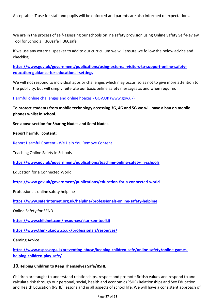Acceptable IT use for staff and pupils will be enforced and parents are also informed of expectations.

We are in the process of self-assessing our schools online safety provision using [Online Safety Self-Review](https://360safe.org.uk/)  [Tool for Schools | 360safe | 360safe](https://360safe.org.uk/)

If we use any external speaker to add to our curriculum we will ensure we follow the below advice and checklist;

**[https://www.gov.uk/government/publications/using-external-visitors-to-support-online-safety](https://www.gov.uk/government/publications/using-external-visitors-to-support-online-safety-education-guidance-for-educational-settings)[education-guidance-for-educational-settings](https://www.gov.uk/government/publications/using-external-visitors-to-support-online-safety-education-guidance-for-educational-settings)**

We will not respond to individual apps or challenges which may occur, so as not to give more attention to the publicity, but will simply reiterate our basic online safety messages as and when required.

[Harmful online challenges and online hoaxes -](https://www.gov.uk/government/publications/harmful-online-challenges-and-online-hoaxes) GOV.UK (www.gov.uk)

**To protect students from mobile technology accessing 3G, 4G and 5G we will have a ban on mobile phones whilst in school.**

**See above section for Sharing Nudes and Semi Nudes.**

**Report harmful content;**

Report Harmful Content - [We Help You Remove Content](https://reportharmfulcontent.com/)

Teaching Online Safety in Schools

**<https://www.gov.uk/government/publications/teaching-online-safety-in-schools>**

Education for a Connected World

**<https://www.gov.uk/government/publications/education-for-a-connected-world>**

Professionals online safety helpline

**<https://www.saferinternet.org.uk/helpline/professionals-online-safety-helpline>**

Online Safety for SEND

**<https://www.childnet.com/resources/star-sen-toolkit>**

**<https://www.thinkuknow.co.uk/professionals/resources/>**

Gaming Advice

**[https://www.nspcc.org.uk/preventing-abuse/keeping-children-safe/online-safety/online-games](https://www.nspcc.org.uk/preventing-abuse/keeping-children-safe/online-safety/online-games-helping-children-play-safe/)[helping-children-play-safe/](https://www.nspcc.org.uk/preventing-abuse/keeping-children-safe/online-safety/online-games-helping-children-play-safe/)**

#### **10.Helping Children to Keep Themselves Safe/RSHE**

Children are taught to understand relationships, respect and promote British values and respond to and calculate risk through our personal, social, health and economic (PSHE) Relationships and Sex Education and Health Education (RSHE) lessons and in all aspects of school life. We will have a consistent approach of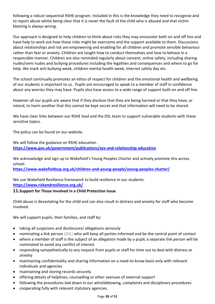following a robust sequential RSHE program. Included in this is the knowledge they need to recognise and to report abuse whilst being clear that it is never the fault of the child who is abused and that victim blaming is always wrong.

Our approach is designed to help children to think about risks they may encounter both on and off line and have help to work out how those risks might be overcome and the support available to them. Discussions about relationships and risk are empowering and enabling for all children and promote sensible behaviour rather than fear or anxiety. Children are taught how to conduct themselves and how to behave in a responsible manner. Children are also reminded regularly about consent, online safety, including sharing nudes/semi nudes and bullying procedures including the legalities and consequences and where to go for help. We mark anti bullying week, children mental health week, internet safety day etc.

The school continually promotes an ethos of respect for children and the emotional health and wellbeing of our students is important to us. Pupils are encouraged to speak to a member of staff in confidence about any worries they may have. Pupils also have access to a wide range of support both on and off line.

However all our pupils are aware that if they disclose that they are being harmed or that they have, or intend, to harm another that this cannot be kept secret and that information will need to be shared.

We have clear links between our RSHE lead and the DSL team to support vulnerable students with these sensitive topics.

The policy can be found on our website.

We will follow the guidance on RSHE education. **<https://www.gov.uk/government/publications/sex-and-relationship-education>**

We acknowledge and sign up to Wakefield's Young Peoples Charter and actively promote this across school.

**<https://www.wakefieldscp.org.uk/children-and-young-people/young-peoples-charter/>**

We use Wakefield Resilience framework to build resilience in our students. **<https://www.riskandresilience.org.uk/>**

## **11.Support for Those Involved in a Child Protection Issue**

Child abuse is devastating for the child and can also result in distress and anxiety for staff who become involved.

We will support pupils, their families, and staff by:

- taking all suspicions and disclosures/ allegations seriously
- nominating a link person *(DSL)* who will keep all parties informed and be the central point of contact
- where a member of staff is the subject of an allegation made by a pupil, a separate link person will be nominated to avoid any conflict of interest
- responding sympathetically to any request from pupils or staff for time out to deal with distress or anxiety
- maintaining confidentiality and sharing information on a need-to-know basis only with relevant individuals and agencies
- maintaining and storing records securely
- offering details of helplines, counselling or other avenues of external support
- following the procedures laid down in our whistleblowing, complaints and disciplinary procedures
- cooperating fully with relevant statutory agencies.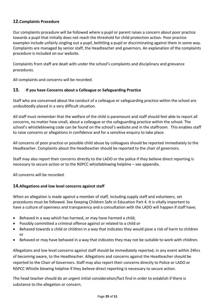## **12.Complaints Procedure**

Our complaints procedure will be followed where a pupil or parent raises a concern about poor practice towards a pupil that initially does not reach the threshold for child protection action. Poor practice examples include unfairly singling out a pupil, belittling a pupil or discriminating against them in some way. Complaints are managed by senior staff, the Headteacher and governors. An explanation of the complaints procedure is included on our website.

Complaints from staff are dealt with under the school's complaints and disciplinary and grievance procedures.

All complaints and concerns will be recorded.

#### **13. If you have Concerns about a Colleague or Safeguarding Practice**

Staff who are concerned about the conduct of a colleague or safeguarding practice within the school are undoubtedly placed in a very difficult situation.

All staff must remember that the welfare of the child is paramount and staff should feel able to report all concerns, no matter how small, about a colleague or the safeguarding practice within the school. The school's whistleblowing code can be found on the school's website and in the staffroom. This enables staff to raise concerns or allegations in confidence and for a sensitive enquiry to take place.

All concerns of poor practice or possible child abuse by colleagues should be reported immediately to the Headteacher. Complaints about the Headteacher should be reported to the chair of governors.

Staff may also report their concerns directly to the LADO or the police if they believe direct reporting is necessary to secure action or to the NSPCC whistleblowing helpline – see appendix.

All concerns will be recorded.

## **14.Allegations and low level concerns against staff**

When an allegation is made against a member of staff, including supply staff and volunteers, set procedures must be followed. See Keeping Children Safe in Education Part 4. It is vitally important to have a culture of openness and transparency and a consultation with the LADO will happen if staff have;

- Behaved in a way which has harmed, or may have harmed a child;
- Possibly committed a criminal offence against or related to a child or
- Behaved towards a child or children in a way that indicates they would pose a risk of harm to children or
- Behaved or may have behaved in a way that indicates they may not be suitable to work with children.

Allegations and low level concerns against staff should be immediately reported, in any event within 24hrs of becoming aware, to the Headteacher. Allegations and concerns against the Headteacher should be reported to the Chair of Governors. Staff may also report their concerns directly to Police or LADO or NSPCC Whistle blowing helpline if they believe direct reporting is necessary to secure action.

The head teacher should do an urgent initial consideration/fact find in order to establish if there is substance to the allegation or concern.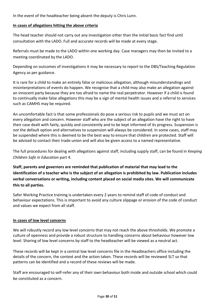In the event of the headteacher being absent the deputy is Chris Lunn.

#### **In cases of allegations hitting the above criteria**

The head teacher should not carry out any investigation other than the initial basic fact find until consultation with the LADO. Full and accurate records will be made at every stage.

Referrals must be made to the LADO within one working day. Case managers may then be invited to a meeting coordinated by the LADO.

Depending on outcomes of investigations it may be necessary to report to the DBS/Teaching Regulation Agency as per guidance.

It is rare for a child to make an entirely false or malicious allegation, although misunderstandings and misinterpretations of events do happen. We recognise that a child may also make an allegation against an innocent party because they are too afraid to name the real perpetrator. However if a child is found to continually make false allegations this may be a sign of mental health issues and a referral to services such as CAMHS may be required.

An uncomfortable fact is that some professionals do pose a serious risk to pupils and we must act on every allegation and concern. However staff who are the subject of an allegation have the right to have their case dealt with fairly, quickly and consistently and to be kept informed of its progress. Suspension is *not* the default option and alternatives to suspension will always be considered. In some cases, staff may be suspended where this is deemed to be the best way to ensure that children are protected. Staff will be advised to contact their trade union and will also be given access to a named representative.

The full procedures for dealing with allegations against staff, including supply staff, can be found in *Keeping Children Safe in Education* part 4.

**Staff, parents and governors are reminded that publication of material that may lead to the identification of a teacher who is the subject of an allegation is prohibited by law. Publication includes verbal conversations or writing, including content placed on social media sites. We will communicate this to all parties.** 

Safer Working Practice training is undertaken every 2 years to remind staff of code of conduct and behaviour expectations. This is important to avoid any culture slippage or erosion of the code of conduct and values we expect from all staff.

#### **In cases of low level concerns**

We will robustly record any low level concerns that may not reach the above thresholds. We promote a culture of openness and provide a robust structure to handling concerns about behaviour however low level. Sharing of low level concerns by staff to the headteacher will be viewed as a neutral act.

These records will be kept in a central low level concerns file in the Headteachers office including the details of the concern, the context and the action taken. These records will be reviewed SLT so that patterns can be identified and a record of these reviews will be made.

Staff are encouraged to self-refer any of their own behaviour both inside and outside school which could be constituted as a concern.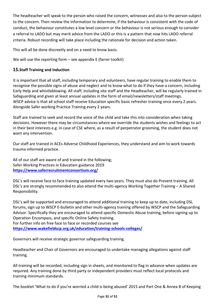The headteacher will speak to the person who raised the concern, witnesses and also to the person subject to the concern. Then review the information to determine, if the behaviour is consistent with the code of conduct, the behaviour constitutes a low level concern or the behaviour is not serious enough to consider a referral to LADO but may merit advice from the LADO or this is a pattern that now hits LADO referral criteria. Robust recording will take place including the rationale for decision and action taken.

This will all be done discreetly and on a need to know basis.

We will use the reporting form  $-$  see appendix E (farrer toolkit)

## **15.Staff Training and Induction**

It is important that all staff, including temporary and volunteers, have regular training to enable them to recognise the possible signs of abuse and neglect and to know what to do if they have a concern, including Early Help and whistleblowing. All staff, including site staff and the Headteacher, will be regularly trained in Safeguarding and given at least annual updates in the form of email/newsletters/staff meetings. WSCP advice is that all school staff receive Education specific basic refresher training once every 2 years. Alongside Safer working Practice Training every 2 years.

Staff are trained to seek and record the voice of the child and take this into consideration when taking decisions. However there may be circumstances where we override the students wishes and feelings to act in their best interests e.g. in case of CSE where, as a result of perpetrator grooming, the student does not want any intervention.

Our staff are trained in ACEs Adverse Childhood Experiences, they understand and aim to work towards trauma informed practice.

All of our staff are aware of and trained in the following; Safer Working Practices in Education guidance 2019 **<https://www.saferrecruitmentconsortium.org/>**

DSL's will receive face to face training updated every two years. They must also do Prevent training. All DSL's are strongly recommended to also attend the multi-agency Working Together Training – A Shared Responsibility.

DSL's will be supported and encouraged to attend additional training to keep up to date, including DSL forums, sign up to WSCP E-bulletin and other multi-agency training offered by WSCP and the Safeguarding Advisor. Specifically they are encouraged to attend specific Domestic Abuse training, before signing up to Operation Encompass, and specific Online Safety training.

For further info on free face to face or recorded courses see **<https://www.wakefieldscp.org.uk/education/training-schools-colleges/>**

Governors will receive strategic governor safeguarding training.

Headteacher and Chair of Governors are encouraged to undertake managing allegations against staff training.

All training will be recorded, including sign in sheets, and monitored to flag in advance when updates are required. Any training done by third party or independent providers must reflect local protocols and training minimum standards.

The booklet 'What to do if you're worried a child is being abused' 2015 and Part One & Annex B of Keeping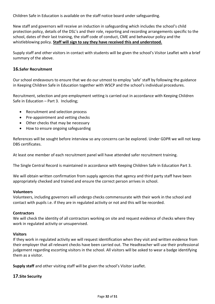Children Safe in Education is available on the staff notice board under safeguarding.

New staff and governors will receive an induction in safeguarding which includes the school's child protection policy, details of the DSL's and their role, reporting and recording arrangements specific to the school, dates of their last training, the staff code of conduct, CME and behaviour policy and the whistleblowing policy. **Staff will sign to say they have received this and understood.**

Supply staff and other visitors in contact with students will be given the school's Visitor Leaflet with a brief summary of the above.

## **16.Safer Recruitment**

Our school endeavours to ensure that we do our utmost to employ 'safe' staff by following the guidance in Keeping Children Safe in Education together with WSCP and the school's individual procedures.

Recruitment, selection and pre-employment vetting is carried out in accordance with Keeping Children Safe in Education – Part 3. Including;

- Recruitment and selection process
- Pre-appointment and vetting checks
- Other checks that may be necessary
- How to ensure ongoing safeguarding

References will be sought before interview so any concerns can be explored. Under GDPR we will not keep DBS certificates.

At least one member of each recruitment panel will have attended safer recruitment training.

The Single Central Record is maintained in accordance with Keeping Children Safe in Education Part 3.

We will obtain written confirmation from supply agencies that agency and third party staff have been appropriately checked and trained and ensure the correct person arrives in school.

#### **Volunteers**

Volunteers, including governors will undergo checks commensurate with their work in the school and contact with pupils i.e. if they are in regulated activity or not and this will be recorded.

#### **Contractors**

We will check the identity of all contractors working on site and request evidence of checks where they work in regulated activity or unsupervised.

## **Visitors**

If they work in regulated activity we will request identification when they visit and written evidence from their employer that all relevant checks have been carried out. The Headteacher will use their professional judgement regarding escorting visitors in the school. All visitors will be asked to wear a badge identifying them as a visitor.

**Supply staff** and other visiting staff will be given the school's Visitor Leaflet.

## **17.Site Security**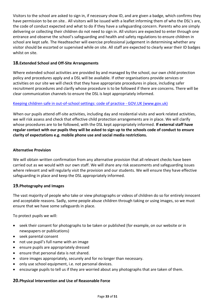Visitors to the school are asked to sign in, if necessary show ID, and are given a badge, which confirms they have permission to be on site.. All visitors will be issued with a leaflet informing them of who the DSL's are, the code of conduct expected and what to do if they have a safeguarding concern. Parents who are simply delivering or collecting their children do not need to sign in. All visitors are expected to enter through one entrance and observe the school's safeguarding and health and safety regulations to ensure children in school are kept safe. The Headteacher will exercise professional judgement in determining whether any visitor should be escorted or supervised while on site. All staff are expected to clearly wear their ID badges whilst on site.

## **18.Extended School and Off-Site Arrangements**

Where extended school activities are provided by and managed by the school, our own child protection policy and procedures apply and a DSL will be available. If other organisations provide services or activities on our site we will check that they have appropriate procedures in place, including safer recruitment procedures and clarify whose procedure is to be followed if there are concerns. There will be clear communication channels to ensure the DSL is kept appropriately informed.

## [Keeping children safe in out-of-school settings: code of practice -](https://www.gov.uk/government/publications/keeping-children-safe-in-out-of-school-settings-code-of-practice) GOV.UK (www.gov.uk)

When our pupils attend off-site activities, including day and residential visits and work related activities, we will risk assess and check that effective child protection arrangements are in place. We will clarify whose procedures are to be followed, with the DSL kept appropriately informed. **If external staff have regular contact with our pupils they will be asked to sign up to the schools code of conduct to ensure clarity of expectations e.g. mobile phone use and social media restrictions.**

### **Alternative Provision**

We will obtain written confirmation from any alternative provision that all relevant checks have been carried out as we would with our own staff. We will share any risk assessments and safeguarding issues where relevant and will regularly visit the provision and our students. We will ensure they have effective safeguarding in place and keep the DSL appropriately informed.

## **19.Photography and Images**

The vast majority of people who take or view photographs or videos of children do so for entirely innocent and acceptable reasons. Sadly, some people abuse children through taking or using images, so we must ensure that we have some safeguards in place.

To protect pupils we will:

- seek their consent for photographs to be taken or published (for example, on our website or in newspapers or publications)
- seek parental consent
- not use pupil's full name with an image
- ensure pupils are appropriately dressed
- ensure that personal data is not shared.
- store images appropriately, securely and for no longer than necessary.
- only use school equipment, i.e. not personal devices.
- encourage pupils to tell us if they are worried about any photographs that are taken of them.

#### **20.Physical Intervention and Use of Reasonable Force**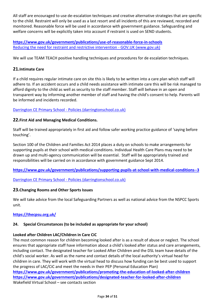All staff are encouraged to use de-escalation techniques and creative alternative strategies that are specific to the child. Restraint will only be used as a last resort and all incidents of this are reviewed, recorded and monitored. Reasonable force will be used in accordance with government guidance. Safeguarding and welfare concerns will be explicitly taken into account if restraint is used on SEND students.

**<https://www.gov.uk/government/publications/use-of-reasonable-force-in-schools>** [Reducing the need for restraint and restrictive intervention -](https://www.gov.uk/government/publications/reducing-the-need-for-restraint-and-restrictive-intervention) GOV.UK (www.gov.uk)

We will use TEAM TEACH positive handling techniques and procedures for de escalation techniques.

## **21.Intimate Care**

If a child requires regular intimate care on site this is likely to be written into a care plan which staff will adhere to. If an accident occurs and a child needs assistance with intimate care this will be risk managed to afford dignity to the child as well as security to the staff member. Staff will behave in an open and transparent way by informing another member of staff and having the child's consent to help. Parents will be informed and incidents recorded.

## Darrington CE Primary School - [Policies \(darringtonschool.co.uk\)](https://www.darringtonschool.co.uk/page/?title=Policies&pid=26)

## **22.First Aid and Managing Medical Conditions.**

Staff will be trained appropriately in first aid and follow safer working practice guidance of 'saying before touching'.

Section 100 of the Children and Families Act 2014 places a duty on schools to make arrangements for supporting pupils at their school with medical conditions. Individual Health Care Plans may need to be drawn up and multi-agency communication will be essential. Staff will be appropriately trained and responsibilities will be carried on in accordance with government guidance Sept 2014.

**<https://www.gov.uk/government/publications/supporting-pupils-at-school-with-medical-conditions--3>**

Darrington CE Primary School - [Policies \(darringtonschool.co.uk\)](https://www.darringtonschool.co.uk/page/?title=Policies&pid=26)

## **23.Changing Rooms and Other Sports Issues**

We will take advice from the local Safeguarding Partners as well as national advice from the NSPCC Sports unit.

## **<https://thecpsu.org.uk/>**

## **24. Special Circumstances (to be included as appropriate for your school)**

## **Looked after Children LAC/Children in Care CiC**

The most common reason for children becoming looked after is as a result of abuse or neglect. The school ensures that appropriate staff have information about a child's looked after status and care arrangements, including contact. The designated teacher for Looked After Children and the DSL team have details of the child's social worker. As well as the name and contact details of the local authority's virtual head for children in care. They will work with the virtual head to discuss how funding can be best used to support the progress of LAC/CiC and meet the needs in their PEP (Personal Education Plan) **<https://www.gov.uk/government/publications/promoting-the-education-of-looked-after-children> <https://www.gov.uk/government/publications/designated-teacher-for-looked-after-children>** Wakefield Virtual School – see contacts section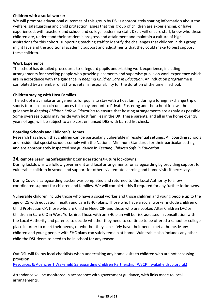### **Children with a social worker**

We will promote educational outcomes of this group by DSL's appropriately sharing information about the welfare, safeguarding and child protection issues that this group of children are experiencing, or have experienced, with teachers and school and college leadership staff. DSL's will ensure staff, know who these children are, understand their academic progress and attainment and maintain a culture of high aspirations for this cohort; supporting teaching staff to identify the challenges that children in this group might face and the additional academic support and adjustments that they could make to best support these children.

#### **Work Experience**

The school has detailed procedures to safeguard pupils undertaking work experience, including arrangements for checking people who provide placements and supervise pupils on work experience which are in accordance with the guidance in *Keeping Children Safe in Education*. An induction programme is completed by a member of SLT who retains responsibility for the duration of the time in school.

#### **Children staying with Host Families**

The school may make arrangements for pupils to stay with a host family during a foreign exchange trip or sports tour. In such circumstances this may amount to Private Fostering and the school follows the guidance in *Keeping Children Safe in Education* to ensure that hosting arrangements are as safe as possible. Some overseas pupils may reside with host families in the UK. These parents, and all in the home over 18 years of age, will be subject to a no cost enhanced DBS with barred list check.

#### **Boarding Schools and Children's Homes**

Research has shown that children can be particularly vulnerable in residential settings. All boarding schools and residential special schools comply with the National Minimum Standards for their particular setting and are appropriately inspected see guidance in *Keeping Children Safe in Education*

## **24.Remote Learning Safeguarding Considerations/Future lockdowns.**

During lockdowns we follow government and local arrangements for safeguarding by providing support for vulnerable children in school and support for others via remote learning and home visits if necessary.

During Covid a safeguarding tracker was completed and returned to the Local Authority to allow coordinated support for children and families. We will complete this if required for any further lockdowns.

Vulnerable children include those who have a social worker and those children and young people up to the age of 25 with education, health and care (EHC) plans. Those who have a social worker include children on Child Protection CP, those who are Child in Need CIN and those who are Looked After Children LAC or Children in Care CIC in West Yorkshire. Those with an EHC plan will be risk-assessed in consultation with the Local Authority and parents, to decide whether they need to continue to be offered a school or college place in order to meet their needs, or whether they can safely have their needs met at home. Many children and young people with EHC plans can safely remain at home. Vulnerable also includes any other child the DSL deem to need to be in school for any reason.

Out DSL will follow local checklists when undertaking any home visits to children who are not accessing provision. [Resources & Agencies | Wakefield Safeguarding Children Partnership \(WSCP\) \(wakefieldscp.org.uk\)](https://www.wakefieldscp.org.uk/education/education-resources/)

Attendance will be monitored in accordance with government guidance, with links made to local arrangements.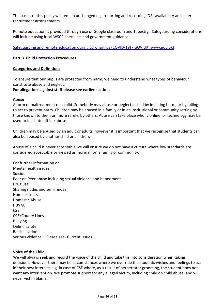The basics of this policy will remain unchanged e.g. reporting and recording, DSL availability and safer recruitment arrangements.

Remote education is provided through use of Google classroom and Tapestry. Safeguarding considerations will include using local WSCP checklists and government guidance;

[Safeguarding and remote education during coronavirus \(COVID-19\) -](https://www.gov.uk/guidance/safeguarding-and-remote-education-during-coronavirus-covid-19) GOV.UK (www.gov.uk)

### **Part B Child Protection Procedures**

#### **Categories and Definitions**

To ensure that our pupils are protected from harm, we need to understand what types of behaviour constitute abuse and neglect.

#### **For allegations against staff please see earlier section.**

#### **Abuse**

A form of maltreatment of a child. Somebody may abuse or neglect a child by inflicting harm, or by failing to act to prevent harm. Children may be abused in a family or in an institutional or community setting by those known to them or, more rarely, by others. Abuse can take place wholly online, or technology may be used to facilitate offline abuse.

Children may be abused by an adult or adults, however it is important that we recognise that students can also be abused by another child or children.

Abuse of a child is never acceptable we will ensure we do not have a culture where low standards are considered acceptable or viewed as 'normal for' a family or community.

For further information on Mental health issues Suicide Peer on Peer abuse including sexual violence and harassment Drug use Sharing nudes and semi nudes. Homelessness Domestic Abuse HBV/A **CSE** CCE/County Lines Bullying Online safety Radicalisation Serious violence Please see- Current Issues.

#### **Voice of the Child**

We will always seek and record the voice of the child and take this into consideration when taking decisions. However there may be circumstances where we override the students wishes and feelings to act in their best interests e.g. in case of CSE where, as a result of perpetrator grooming, the student does not want any intervention. We promote support for any alleged victim, including child on child abuse, and will never victim blame.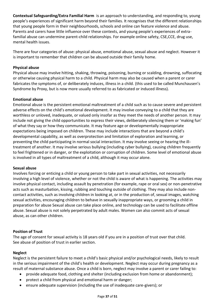**Contextual Safeguarding/Extra Familial Harm** is an approach to understanding, and responding to, young people's experiences of significant harm beyond their families. It recognises that the different relationships that young people form in their neighbourhoods, schools and online can feature violence and abuse. Parents and carers have little influence over these contexts, and young people's experiences of extrafamilial abuse can undermine parent-child relationships. For example online safety, CSE,CCE, drug use, mental health issues.

There are four categories of abuse: physical abuse, emotional abuse, sexual abuse and neglect. However it is important to remember that children can be abused outside their family home.

## **Physical abuse**

Physical abuse may involve hitting, shaking, throwing, poisoning, burning or scalding, drowning, suffocating or otherwise causing physical harm to a child. Physical harm may also be caused when a parent or carer fabricates the symptoms of, or deliberately induces, illness in a child. (this used to be called Munchausen's Syndrome by Proxy, but is now more usually referred to as fabricated or induced illness).

#### **Emotional abuse**

Emotional abuse is the persistent emotional maltreatment of a child such as to cause severe and persistent adverse effects on the child's emotional development. It may involve conveying to a child that they are worthless or unloved, inadequate, or valued only insofar as they meet the needs of another person. It may include not giving the child opportunities to express their views, deliberately silencing them or 'making fun' of what they say or how they communicate. It may feature age or developmentally inappropriate expectations being imposed on children. These may include interactions that are beyond a child's developmental capability, as well as overprotection and limitation of exploration and learning, or preventing the child participating in normal social interaction. It may involve seeing or hearing the illtreatment of another. It may involve serious bullying (including cyber bullying), causing children frequently to feel frightened or in danger, or the exploitation or corruption of children. Some level of emotional abuse is involved in all types of maltreatment of a child, although it may occur alone.

#### **Sexual abuse**

Involves forcing or enticing a child or young person to take part in sexual activities, not necessarily involving a high level of violence, whether or not the child is aware of what is happening. The activities may involve physical contact, including assault by penetration (for example, rape or oral sex) or non-penetrative acts such as masturbation, kissing, rubbing and touching outside of clothing. They may also include noncontact activities, such as involving children in looking at, or in the production of, sexual images, watching sexual activities, encouraging children to behave in sexually inappropriate ways, or grooming a child in preparation for abuse Sexual abuse can take place online, and technology can be used to facilitate offline abuse. Sexual abuse is not solely perpetrated by adult males. Women can also commit acts of sexual abuse, as can other children.

#### **Position of Trust**

The age of consent for sexual activity is 18 years old if you are in a position of trust over that child. See abuse of position of trust in earlier section.

#### **Neglect**

Neglect is the persistent failure to meet a child's basic physical and/or psychological needs, likely to result in the serious impairment of the child's health or development. Neglect may occur during pregnancy as a result of maternal substance abuse. Once a child is born, neglect may involve a parent or carer failing to:

- provide adequate food, clothing and shelter (including exclusion from home or abandonment);
- protect a child from physical and emotional harm or danger;
- ensure adequate supervision (including the use of inadequate care-givers); or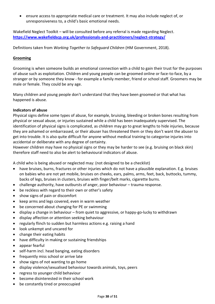• ensure access to appropriate medical care or treatment. It may also include neglect of, or unresponsiveness to, a child's basic emotional needs.

Wakefield Neglect Toolkit – will be consulted before any referral is made regarding Neglect. **<https://www.wakefieldscp.org.uk/professionals-and-practitioners/neglect-strategy/>**

Definitions taken from *Working Together to Safeguard Children* (HM Government, 2018).

## **Grooming**

Grooming is when someone builds an emotional connection with a child to gain their trust for the purposes of abuse such as exploitation. Children and young people can be groomed online or face-to-face, by a stranger or by someone they know - for example a family member, friend or school staff. Groomers may be male or female. They could be any age.

Many children and young people don't understand that they have been groomed or that what has happened is abuse.

#### **Indicators of abuse**

Physical signs define some types of abuse, for example, bruising, bleeding or broken bones resulting from physical or sexual abuse, or injuries sustained while a child has been inadequately supervised. The identification of physical signs is complicated, as children may go to great lengths to hide injuries, because they are ashamed or embarrassed, or their abuser has threatened them or they don't want the abuser to get into trouble. It is also quite difficult for anyone without medical training to categorise injuries into accidental or deliberate with any degree of certainty.

However children may have no physical signs or they may be harder to see (e.g. bruising on black skin) therefore staff need to also be alert to behavioural indicators of abuse.

A child who is being abused or neglected may: (not designed to be a checklist)

- have bruises, burns, fractures or other injuries which do not have a plausible explanation. E.g. bruises on babies who are not yet mobile, bruises on cheeks, ears, palms, arms, feet, back, buttocks, tummy, backs of legs, bruises in clusters, bruises with finger/belt marks, cigarette burns.
- challenge authority, have outbursts of anger, poor behaviour trauma response.
- be reckless with regard to their own or other's safety
- show signs of pain or discomfort
- keep arms and legs covered, even in warm weather
- be concerned about changing for PE or swimming
- display a change in behaviour from quiet to aggressive, or happy-go-lucky to withdrawn
- display affection or attention seeking behaviour
- regularly flinch to sudden but harmless actions e.g. raising a hand
- look unkempt and uncared for
- change their eating habits
- have difficulty in making or sustaining friendships
- appear fearful
- self-harm incl. head banging, eating disorders
- frequently miss school or arrive late
- show signs of not wanting to go home
- display violence/sexualised behaviour towards animals, toys, peers
- regress to younger child behaviour
- become disinterested in their school work
- be constantly tired or preoccupied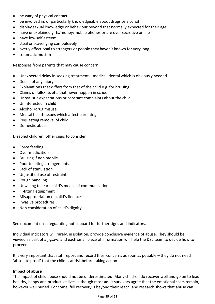- be wary of physical contact
- be involved in, or particularly knowledgeable about drugs or alcohol
- display sexual knowledge or behaviour beyond that normally expected for their age.
- have unexplained gifts/money/mobile phones or are over secretive online
- have low self esteem
- steal or scavenging compulsively
- overly affectional to strangers or people they haven't known for very long
- traumatic mutism

Responses from parents that may cause concern;

- Unexpected delay in seeking treatment medical, dental which is obviously needed
- Denial of any injury
- Explanations that differs from that of the child e.g. for bruising
- Claims of falls/fits etc. that never happen in school
- Unrealistic expectations or constant complaints about the child
- Uninterested in child
- Alcohol /drug misuse
- Mental health issues which affect parenting
- Requesting removal of child
- Domestic abuse.

Disabled children; other signs to consider

- Force feeding
- Over medication
- Bruising if non mobile
- Poor toileting arrangements
- Lack of stimulation
- Unjustified use of restraint
- Rough handling
- Unwilling to learn child's means of communication
- Ill-fitting equipment
- Misappropriation of child's finances
- Invasive procedures
- Non consideration of child's dignity.

See document on safeguarding noticeboard for further signs and indicators.

Individual indicators will rarely, in isolation, provide conclusive evidence of abuse. They should be viewed as part of a jigsaw, and each small piece of information will help the DSL team to decide how to proceed.

It is very important that staff report and record their concerns as soon as possible – they do not need 'absolute proof' that the child is at risk before taking action.

#### **Impact of abuse**

The impact of child abuse should not be underestimated. Many children do recover well and go on to lead healthy, happy and productive lives, although most adult survivors agree that the emotional scars remain, however well buried. For some, full recovery is beyond their reach, and research shows that abuse can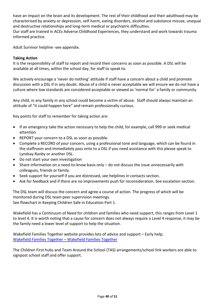have an impact on the brain and its development. The rest of their childhood and their adulthood may be characterised by anxiety or depression, self-harm, eating disorders, alcohol and substance misuse, unequal and destructive relationships and long-term medical or psychiatric difficulties.

Our staff are trained in ACEs Adverse Childhood Experiences, they understand and work towards trauma informed practice.

Adult Survivor helpline -see appendix.

#### **Taking Action**

It is the responsibility of staff to report and record their concerns as soon as possible. A DSL will be available at all times, within the school day, for staff to speak to.

We actively encourage a 'never do nothing' attitude if staff have a concern about a child and promote discussion with a DSL if in any doubt. Abuse of a child is never acceptable we will ensure we do not have a culture where low standards are considered acceptable or viewed as 'normal for' a family or community.

Any child, in any family in any school could become a victim of abuse. Staff should always maintain an attitude of "it could happen here" and remain professionally curious.

Key points for staff to remember for taking action are:

- If an emergency take the action necessary to help the child, for example, call 999 or seek medical attention
- REPORT your concern to a DSL as soon as possible.
- Complete a RECORD of your concern, using a professional tone and language, which can be found in the staffroom and immediately pass onto to a DSL if you need assistance with this please speak to Lyndsay Ranby or another DSL.
- Do not start your own investigation
- Share information on a need-to-know basis only do not discuss the issue unnecessarily with colleagues, friends or family.
- Seek support for yourself if you are distressed, see helplines in contacts section.
- Ask for feedback and if there are no improvements push for reconsideration. See escalation section.

The DSL team will discuss the concern and agree a course of action. The progress of which will be monitored during DSL team peer supervision meetings. See flowchart in Keeping Children Safe in Education Part 1.

Wakefield has a Continuum of Need for children and families who need support, this ranges from Level 1 to level 4. It is worth noting that a cause for concern does not always require a Level 4 response, it may be the family need a lower level of support to help the situation.

Wakefield Families Together website provides lots of advice and support – Early help; [Wakefield Families Together](https://www.wakefieldfamiliestogether.co.uk/) – Wakefield Families Together

The Children First hubs and Team Around the School (TAS) arrangements/school link workers are able to signpost school staff and offer support.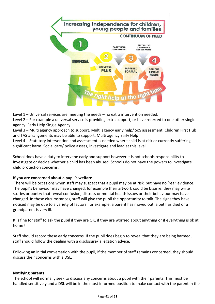

Level 1 – Universal services are meeting the needs – no extra intervention needed.

Level 2 – For example a universal service is providing extra support, or have referred to one other single agency. Early Help Single Agency

Level 3 – Multi agency approach to support. Multi agency early help/ SoS assessment. Children First Hub and TAS arrangements may be able to support. Multi agency Early Help

Level 4 – Statutory intervention and assessment is needed where child is at risk or currently suffering significant harm. Social care/ police assess, investigate and lead at this level.

School does have a duty to intervene early and support however it is not schools responsibility to investigate or decide whether a child has been abused. Schools do not have the powers to investigate child protection concerns.

## **If you are concerned about a pupil's welfare**

There will be occasions when staff may suspect that a pupil may be at risk, but have no 'real' evidence. The pupil's behaviour may have changed, for example their artwork could be bizarre, they may write stories or poetry that reveal confusion, distress or mental health issues or their behaviour may have changed. In these circumstances, staff will give the pupil the opportunity to talk. The signs they have noticed may be due to a variety of factors, for example, a parent has moved out, a pet has died or a grandparent is very ill.

It is fine for staff to ask the pupil if they are OK, if they are worried about anything or if everything is ok at home?

Staff should record these early concerns. If the pupil does begin to reveal that they are being harmed, staff should follow the dealing with a disclosure/ allegation advice.

Following an initial conversation with the pupil, if the member of staff remains concerned, they should discuss their concerns with a DSL.

## **Notifying parents**

The school will normally seek to discuss any concerns about a pupil with their parents. This must be handled sensitively and a DSL will be in the most informed position to make contact with the parent in the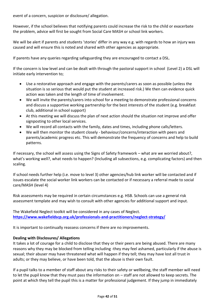event of a concern, suspicion or disclosure/ allegation.

However, if the school believes that notifying parents could increase the risk to the child or exacerbate the problem, advice will first be sought from Social Care MASH or school link workers.

We will be alert if parents and students 'stories' differ in any way e.g. with regards to how an injury was caused and will ensure this is noted and shared with other agencies as appropriate.

If parents have any queries regarding safeguarding they are encouraged to contact a DSL.

If the concern is low level and can be dealt with through the pastoral support in school (Level 2) a DSL will initiate early intervention to;

- Use a restorative approach and engage with the parents/carers as soon as possible (unless the situation is so serious that would put the student at increased risk.) We then can evidence quick action was taken and the length of time of involvement.
- We will invite the parents/carers into school for a meeting to demonstrate professional concerns and discuss a supportive working partnership for the best interests of the student (e.g. breakfast club, additional in school support)
- At this meeting we will discuss the plan of next action should the situation not improve and offer signposting to other local services.
- We will record all contacts with the family, dates and times, including phone calls/letters.
- We will then monitor the student closely behaviour/concerns/interaction with peers and parents/academic progress etc. This will demonstrate the frequency of concerns and help to build patterns.

If necessary, the school will assess using the Signs of Safety framework – what are we worried about?, what's working well?, what needs to happen? (Including all subsections, e.g. complicating factors) and then scaling.

If school needs further help (i.e. move to level 3) other agencies/hub link worker will be contacted and if issues escalate the social worker link workers can be contacted or if necessary a referral made to social care/MASH (level 4)

Risk assessments may be required in certain circumstances e.g. HSB. Schools can use a general risk assessment template and may wish to consult with other agencies for additional support and input.

The Wakefield Neglect toolkit will be considered in any cases of Neglect. **<https://www.wakefieldscp.org.uk/professionals-and-practitioners/neglect-strategy/>**

It is important to continually reassess concerns if there are no improvements.

#### **Dealing with Disclosures/ Allegations**

It takes a lot of courage for a child to disclose that they or their peers are being abused. There are many reasons why they may be blocked from telling including -they may feel ashamed, particularly if the abuse is sexual; their abuser may have threatened what will happen if they tell; they may have lost all trust in adults; or they may believe, or have been told, that the abuse is their own fault.

If a pupil talks to a member of staff about any risks to their safety or wellbeing, the staff member will need to let the pupil know that they must pass the information on – staff are not allowed to keep secrets. The point at which they tell the pupil this is a matter for professional judgement. If they jump in immediately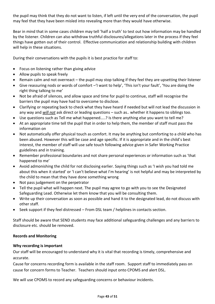the pupil may think that they do not want to listen, if left until the very end of the conversation, the pupil may feel that they have been misled into revealing more than they would have otherwise.

Bear in mind that in some cases children may tell 'half a truth' to test out how information may be handled by the listener. Children can also withdraw truthful disclosures/allegations later in the process if they feel things have gotten out of their control. Effective communication and relationship building with children will help in these situations.

During their conversations with the pupils it is best practice for staff to:

- Focus on listening rather than giving advice
- Allow pupils to speak freely
- Remain calm and not overreact the pupil may stop talking if they feel they are upsetting their listener
- Give reassuring nods or words of comfort –'I want to help', 'This isn't your fault', 'You are doing the right thing talking to me'
- Not be afraid of silences, and allow space and time for pupil to continue, staff will recognise the barriers the pupil may have had to overcome to disclose.
- Clarifying or repeating back to check what they have heard if needed but will not lead the discussion in any way and *will not* ask direct or leading questions – such as.. whether it happens to siblings too.
- Use questions such as Tell me what happened.....? Is there anything else you want to tell me?
- At an appropriate time tell the pupil that in order to help them, the member of staff must pass the information on
- Not automatically offer physical touch as comfort. It may be anything but comforting to a child who has been abused. However this will be case and age specific. If it is appropriate and in the child's best interest, the member of staff will use safe touch following advice given in Safer Working Practice guidelines and in training.
- Remember professional boundaries and not share personal experiences or information such as 'that happened to me'
- Avoid admonishing the child for not disclosing earlier. Saying things such as 'I wish you had told me about this when it started' or 'I can't believe what I'm hearing' is not helpful and may be interpreted by the child to mean that they have done something wrong
- Not pass judgement on the perpetrator
- Tell the pupil what will happen next. The pupil may agree to go with you to see the Designated Safeguarding Lead. Otherwise let them know that you will be consulting them.
- Write up their conversation as soon as possible and hand it to the designated lead, do not discuss with other staff.
- Seek support if they feel distressed From DSL team / helplines in contacts section.

Staff should be aware that SEND students may face additional safeguarding challenges and any barriers to disclosure etc. should be removed.

## **Records and Monitoring**

## **Why recording is important**

Our staff will be encouraged to understand why it is vital that recording is timely, comprehensive and accurate.

Cause for concerns recording form is available in the staff room. Support staff to immediately pass on cause for concern forms to Teacher. Teachers should input onto CPOMS and alert DSL.

We will use CPOMS to record any safeguarding concerns or behaviour incidents.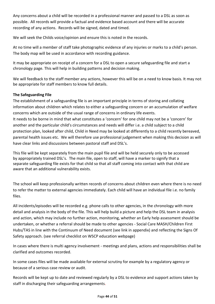Any concerns about a child will be recorded in a professional manner and passed to a DSL as soon as possible. All records will provide a factual and evidence based account and there will be accurate recording of any actions. Records will be signed, dated and timed.

We will seek the Childs voice/opinion and ensure this is noted in the records.

At no time will a member of staff take photographic evidence of any injuries or marks to a child's person. The body map will be used in accordance with recording guidance.

It may be appropriate on receipt of a concern for a DSL to open a secure safeguarding file and start a chronology page. This will help in building patterns and decision making.

We will feedback to the staff member any actions, however this will be on a need to know basis. It may not be appropriate for staff members to know full details.

## **The Safeguarding File**

The establishment of a safeguarding file is an important principle in terms of storing and collating information about children which relates to either a safeguarding concern or an accumulation of welfare concerns which are outside of the usual range of concerns in ordinary life events. It needs to be borne in mind that what constitutes a 'concern' for one child may not be a 'concern' for another and the particular child's circumstances and needs will differ i.e. a child subject to a child protection plan, looked after child, Child in Need may be looked at differently to a child recently bereaved, parental health issues etc. We will therefore use professional judgement when making this decision as will have clear links and discussions between pastoral staff and DSL's.

This file will be kept separately from the main pupil file and will be held securely only to be accessed by appropriately trained DSL's. The main file, open to staff, will have a marker to signify that a separate safeguarding file exists for that child so that all staff coming into contact with that child are aware that an additional vulnerability exists.

The school will keep professionally written records of concerns about children even where there is no need to refer the matter to external agencies immediately. Each child will have an individual file i.e. no family files.

All incidents/episodes will be recorded e.g. phone calls to other agencies, in the chronology with more detail and analysis in the body of the file. This will help build a picture and help the DSL team in analysis and action, which may include no further action, monitoring, whether an Early help assessment should be undertaken, or whether a referral should be made to other agencies - Social Care MASH/Children First Hubs/TAS in line with the Continuum of Need document (see link in appendix) and reflecting the Signs Of Safety approach. (see referral checklist on WSCP education webpage)

In cases where there is multi agency involvement - meetings and plans, actions and responsibilities shall be clarified and outcomes recorded.

In some cases files will be made available for external scrutiny for example by a regulatory agency or because of a serious case review or audit.

Records will be kept up to date and reviewed regularly by a DSL to evidence and support actions taken by staff in discharging their safeguarding arrangements.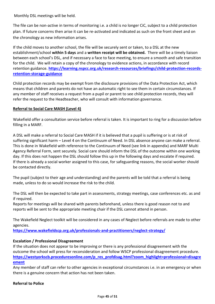Monthly DSL meetings will be held.

The file can be non-active in terms of monitoring i.e. a child is no longer CiC, subject to a child protection plan. If future concerns then arise it can be re-activated and indicated as such on the front sheet and on the chronology as new information arises.

If the child moves to another school, the file will be securely sent or taken, to a DSL at the new establishment/school **within 5 days** and a **written receipt will be obtained.** There will be a timely liaison between each school's DSL, and if necessary a face to face meeting, to ensure a smooth and safe transition for the child. We will retain a copy of the chronology to evidence actions, in accordance with record retention guidance. **[https://learning.nspcc.org.uk/research-resources/briefings/child-protection-records](https://learning.nspcc.org.uk/research-resources/briefings/child-protection-records-retention-storage-guidance)[retention-storage-guidance](https://learning.nspcc.org.uk/research-resources/briefings/child-protection-records-retention-storage-guidance)**

Child protection records may be exempt from the disclosure provisions of the Data Protection Act, which means that children and parents do not have an automatic right to see them in certain circumstances. If any member of staff receives a request from a pupil or parent to see child protection records, they will refer the request to the Headteacher, who will consult with information governance.

#### **Referral to Social Care MASH (Level 4)**

Wakefield offer a consultation service before referral is taken. It is important to ring for a discussion before filling in a MARF.

A DSL will make a referral to Social Care MASH if it is believed that a pupil is suffering or is at risk of suffering significant harm – Level 4 on the Continuum of Need. In DSL absence anyone can make a referral. This is done in Wakefield with reference to the Continuum of Need (see link in appendix) and MARF Multi Agency Referral Form, sent securely. Social care should inform the DSL of the outcome within one working day. If this does not happen the DSL should follow this up in the following days and escalate if required. If there is already a social worker assigned to this case, for safeguarding reasons, the social worker should be contacted directly.

The pupil (subject to their age and understanding) and the parents will be told that a referral is being made, unless to do so would increase the risk to the child.

The DSL will then be expected to take part in assessments, strategy meetings, case conferences etc. as and if required.

Reports for meetings will be shared with parents beforehand, unless there is good reason not to and reports will be sent to the appropriate meeting chair if the DSL cannot attend in person.

The Wakefield Neglect toolkit will be considered in any cases of Neglect before referrals are made to other agencies.

**<https://www.wakefieldscp.org.uk/professionals-and-practitioners/neglect-strategy/>**

#### **Escalation / Professional Disagreement**

If the situation does not appear to be improving or there is any professional disagreement with the outcome the school will press for reconsideration and follow WSCP professional disagreement procedure. **[https://westyorkscb.proceduresonline.com/p\\_res\\_profdisag.html?zoom\\_highlight=professional+disagre](https://westyorkscb.proceduresonline.com/p_res_profdisag.html?zoom_highlight=professional+disagreement) [ement](https://westyorkscb.proceduresonline.com/p_res_profdisag.html?zoom_highlight=professional+disagreement)**

Any member of staff can refer to other agencies in exceptional circumstances i.e. in an emergency or when there is a genuine concern that action has not been taken.

#### **Referral to Police**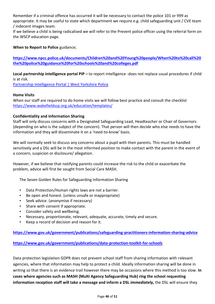Remember if a criminal offence has occurred it will be necessary to contact the police 101 or 999 as appropriate. It may be useful to state which department we require e.g. child safeguarding unit / CVE team / indecent images team.

If we believe a child is being radicalised we will refer to the Prevent police officer using the referral form on the WSCP education page.

### **When to Report to Police** guidance;

**[https://www.npcc.police.uk/documents/Children%20and%20Young%20people/When%20to%20call%20](https://www.npcc.police.uk/documents/Children%20and%20Young%20people/When%20to%20call%20the%20police%20guidance%20for%20schools%20and%20colleges.pdf) [the%20police%20guidance%20for%20schools%20and%20colleges.pdf](https://www.npcc.police.uk/documents/Children%20and%20Young%20people/When%20to%20call%20the%20police%20guidance%20for%20schools%20and%20colleges.pdf)**

**Local partnership intelligence portal PIP –** to report intelligence -does not replace usual procedures if child is at risk.

[Partnership Intelligence Portal | West Yorkshire Police](https://www.westyorkshire.police.uk/partnership-intelligence-portal)

#### **Home Visits**

When our staff are required to do home visits we will follow best practice and consult the checklist <https://www.wakefieldscp.org.uk/education/templates/>

#### **Confidentiality and Information Sharing**

Staff will only discuss concerns with a Designated Safeguarding Lead, Headteacher or Chair of Governors (depending on who is the subject of the concern). That person will then decide who else needs to have the information and they will disseminate it on a 'need-to-know' basis.

We will normally seek to discuss any concerns about a pupil with their parents. This must be handled sensitively and a DSL will be in the most informed position to make contact with the parent in the event of a concern, suspicion or disclosure/ allegation.

However, if we believe that notifying parents could increase the risk to the child or exacerbate the problem, advice will first be sought from Social Care MASH.

The Seven Golden Rules for Safeguarding Information Sharing

- Data Protection/Human rights laws are not a barrier.
- Be open and honest. (unless unsafe or inappropriate)
- Seek advice. (anonymise if necessary)
- Share with consent if appropriate.
- Consider safety and wellbeing.
- Necessary, proportionate, relevant, adequate, accurate, timely and secure.
- Keep a record of decision and reason for it.

**<https://www.gov.uk/government/publications/safeguarding-practitioners-information-sharing-advice>**

#### **<https://www.gov.uk/government/publications/data-protection-toolkit-for-schools>**

Data protection legislation GDPR does not prevent school staff from sharing information with relevant agencies, where that information may help to protect a child. Ideally information sharing will be done in writing so that there is an evidence trail however there may be occasions where this method is too slow. **In cases where agencies such as MASH (Multi Agency Safeguarding Hub) ring the school requesting information reception staff will take a message and inform a DSL** *immediately,* the DSL will ensure they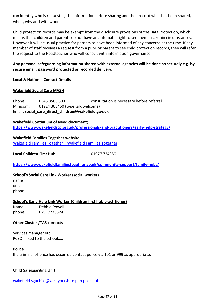can identify who is requesting the information before sharing and then record what has been shared, when, why and with whom.

Child protection records may be exempt from the disclosure provisions of the Data Protection, which means that children and parents do not have an automatic right to see them in certain circumstances. However it will be usual practice for parents to have been informed of any concerns at the time. If any member of staff receives a request from a pupil or parent to see child protection records, they will refer the request to the Headteacher who will consult with information governance.

## **Any personal safeguarding information shared with external agencies will be done so securely e.g. by secure email, password protected or recorded delivery.**

## **Local & National Contact Details**

#### **Wakefield Social Care MASH**

Phone; 0345 8503 503 consultation is necessary before referral Minicom: 01924 303450 (type talk welcome) Email; **social\_care\_direct\_children@wakefield.gov.uk**

#### **Wakefield Continuum of Need document; <https://www.wakefieldscp.org.uk/professionals-and-practitioners/early-help-strategy/>**

#### **Wakefield Families Together website**

[Wakefield Families Together](https://www.wakefieldfamiliestogether.co.uk/) – Wakefield Families Together

**Local Children First Hub** 01977 724350

**<https://www.wakefieldfamiliestogether.co.uk/community-support/family-hubs/>**

## **School's Social Care Link Worker (social worker)**

name email phone

## **School's Early Help Link Worker (Children first hub practitioner)**

Name Debbie Powell phone 07917233324

## **Other Cluster /TAS contacts**

Services manager etc PCSO linked to the school…..

#### **Police**

If a criminal offence has occurred contact police via 101 or 999 as appropriate.

#### **Child Safeguarding Unit**

wakefield.sguchild@westyorkshire.pnn.police.uk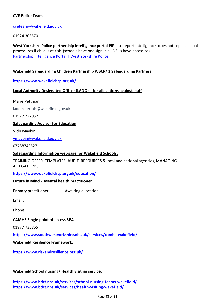## **CVE Police Team**

#### [cveteam@wakefield.gov.uk](mailto:cveteam@wakefield.gov.uk)

01924 303570

West Yorkshire Police partnership intelligence portal PIP – to report intelligence -does not replace usual procedures if child is at risk. (schools have one sign in all DSL's have access to) [Partnership Intelligence Portal | West Yorkshire Police](https://www.westyorkshire.police.uk/partnership-intelligence-portal)

### **Wakefield Safeguarding Children Partnership WSCP/ 3 Safeguarding Partners**

#### **<https://www.wakefieldscp.org.uk/>**

#### **Local Authority Designated Officer (LADO) – for allegations against staff**

Marie Pettman

lado.referrals@wakefield.gov.uk

01977 727032

#### **Safeguarding Advisor for Education**

Vicki Maybin

vmaybin@wakefield.gov.uk

07788743527

#### **Safeguarding Information webpage for Wakefield Schools;**

TRAINING OFFER, TEMPLATES, AUDIT, RESOURCES & local and national agencies, MANAGING ALLEGATIONS,

#### **<https://www.wakefieldscp.org.uk/education/>**

#### **Future in Mind - Mental health practitioner**

Primary practitioner - Awaiting allocation

Email;

Phone;

#### **CAMHS Single point of access SPA**

01977 735865

**https://www.southwestyorkshire.nhs.uk/services/camhs-wakefield/**

**Wakefield Resilience Framework;**

**<https://www.riskandresilience.org.uk/>**

## **Wakefield School nursing/ Health visiting service;**

**<https://www.bdct.nhs.uk/services/school-nursing-teams-wakefield/> <https://www.bdct.nhs.uk/services/health-visiting-wakefield/>**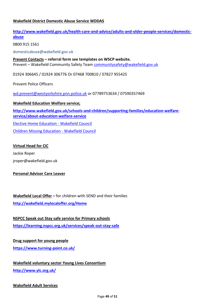### **Wakefield District Domestic Abuse Service WDDAS**

## **[http://www.wakefield.gov.uk/health-care-and-advice/adults-and-older-people-services/domestic](http://www.wakefield.gov.uk/health-care-and-advice/adults-and-older-people-services/domestic-abuse)[abuse](http://www.wakefield.gov.uk/health-care-and-advice/adults-and-older-people-services/domestic-abuse)**

0800 915 1561

domesticabuse@wakefield.gov.uk

**Prevent Contacts – referral form see templates on WSCP website.** Prevent – Wakefield Community Safety Team [communitysafety@wakefield.gov.uk](mailto:communitysafety@wakefield.gov.uk)

01924 306645 / 01924 306776 Or 07468 700810 / 07827 955425

Prevent Police Officers

[wd.prevent@westyorkshire.pnn.police.uk](mailto:wd.prevent@westyorkshire.pnn.police.uk) or 07789753634 / 07590357469

#### **Wakefield Education Welfare service;**

**[http://www.wakefield.gov.uk/schools-and-children/supporting-families/education-welfare](http://www.wakefield.gov.uk/schools-and-children/supporting-families/education-welfare-service/about-education-welfare-service)[service/about-education-welfare-service](http://www.wakefield.gov.uk/schools-and-children/supporting-families/education-welfare-service/about-education-welfare-service)** [Elective Home Education -](https://www.wakefield.gov.uk/schools-and-children/supporting-families/education-welfare-service/elective-home-education) Wakefield Council [Children Missing Education -](https://www.wakefield.gov.uk/schools-and-children/supporting-families/education-welfare-service/children-missing-education) Wakefield Council

#### **Virtual Head for CiC**

Jackie Roper jroper@wakefield.gov.uk

#### **Personal Advisor Care Leaver**

**Wakefield Local Offer –** for children with SEND and their families **<http://wakefield.mylocaloffer.org/Home>**

#### **NSPCC Speak out Stay safe service for Primary schools**

**<https://learning.nspcc.org.uk/services/speak-out-stay-safe>**

## **Drug support for young people**

**<https://www.turning-point.co.uk/>**

**Wakefield voluntary sector Young Lives Consortium <http://www.ylc.org.uk/>**

#### **Wakefield Adult Services**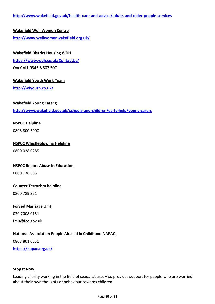# **Wakefield Well Women Centre <http://www.wellwomenwakefield.org.uk/>**

## **Wakefield District Housing WDH**

**<https://www.wdh.co.uk/ContactUs/>**

OneCALL 0345 8 507 507

## **Wakefield Youth Work Team**

**<http://wfyouth.co.uk/>**

## **Wakefield Young Carers;**

**<http://www.wakefield.gov.uk/schools-and-children/early-help/young-carers>**

## **NSPCC Helpline**

0808 800 5000

# **NSPCC Whistleblowing Helpline** 0800 028 0285

## **NSPCC Report Abuse in Education**

0800 136 663

## **Counter Terrorism helpline**

0800 789 321

## **Forced Marriage Unit**

020 7008 0151

fmu@fco.gov.uk

## **National Association People Abused in Childhood NAPAC**

0808 801 0331

**<https://napac.org.uk/>**

#### **Stop It Now**

Leading charity working in the field of sexual abuse. Also provides support for people who are worried about their own thoughts or behaviour towards children.